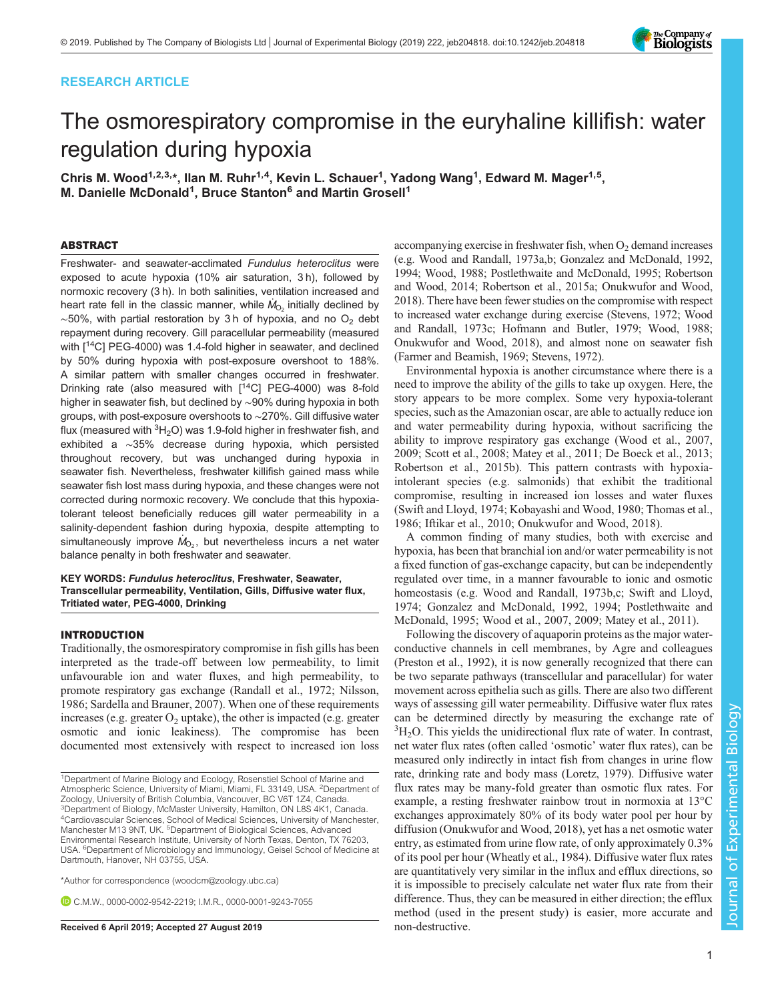# RESEARCH ARTICLE



# The osmorespiratory compromise in the euryhaline killifish: water regulation during hypoxia

Chris M. Wood<sup>1,2,3,</sup>\*, Ilan M. Ruhr<sup>1,4</sup>, Kevin L. Schauer<sup>1</sup>, Yadong Wang<sup>1</sup>, Edward M. Mager<sup>1,5</sup>, M. Danielle McDonald<sup>1</sup>, Bruce Stanton<sup>6</sup> and Martin Grosell<sup>1</sup>

#### ABSTRACT

Freshwater- and seawater-acclimated Fundulus heteroclitus were exposed to acute hypoxia (10% air saturation, 3 h), followed by normoxic recovery (3 h). In both salinities, ventilation increased and heart rate fell in the classic manner, while  $\dot M_{\rm O_2}$  initially declined by  $\sim$ 50%, with partial restoration by 3 h of hypoxia, and no O<sub>2</sub> debt repayment during recovery. Gill paracellular permeability (measured with  $[14C]$  PEG-4000) was 1.4-fold higher in seawater, and declined by 50% during hypoxia with post-exposure overshoot to 188%. A similar pattern with smaller changes occurred in freshwater. Drinking rate (also measured with [14C] PEG-4000) was 8-fold higher in seawater fish, but declined by ∼90% during hypoxia in both groups, with post-exposure overshoots to ∼270%. Gill diffusive water flux (measured with  ${}^{3}H_{2}O$ ) was 1.9-fold higher in freshwater fish, and exhibited a ∼35% decrease during hypoxia, which persisted throughout recovery, but was unchanged during hypoxia in seawater fish. Nevertheless, freshwater killifish gained mass while seawater fish lost mass during hypoxia, and these changes were not corrected during normoxic recovery. We conclude that this hypoxiatolerant teleost beneficially reduces gill water permeability in a salinity-dependent fashion during hypoxia, despite attempting to simultaneously improve  $\dot{M}_{\rm O_2}$ , but nevertheless incurs a net water balance penalty in both freshwater and seawater.

KEY WORDS: Fundulus heteroclitus, Freshwater, Seawater, Transcellular permeability, Ventilation, Gills, Diffusive water flux, Tritiated water, PEG-4000, Drinking

# INTRODUCTION

Traditionally, the osmorespiratory compromise in fish gills has been interpreted as the trade-off between low permeability, to limit unfavourable ion and water fluxes, and high permeability, to promote respiratory gas exchange ([Randall et al., 1972; Nilsson,](#page-11-0) [1986](#page-11-0); [Sardella and Brauner, 2007](#page-11-0)). When one of these requirements increases (e.g. greater  $O_2$  uptake), the other is impacted (e.g. greater osmotic and ionic leakiness). The compromise has been documented most extensively with respect to increased ion loss

\*Author for correspondence [\(woodcm@zoology.ubc.ca](mailto:woodcm@zoology.ubc.ca))

C.M.W., [0000-0002-9542-2219](http://orcid.org/0000-0002-9542-2219); I.M.R., [0000-0001-9243-7055](http://orcid.org/0000-0001-9243-7055)

Received 6 April 2019; Accepted 27 August 2019 non-destructive.

accompanying exercise in freshwater fish, when  $O<sub>2</sub>$  demand increases (e.g. [Wood and Randall, 1973a,b](#page-12-0); [Gonzalez and McDonald, 1992,](#page-10-0) [1994;](#page-10-0) [Wood, 1988; Postlethwaite and McDonald, 1995](#page-11-0); [Robertson](#page-11-0) [and Wood, 2014; Robertson et al., 2015a](#page-11-0); [Onukwufor and Wood,](#page-11-0) [2018\)](#page-11-0). There have been fewer studies on the compromise with respect to increased water exchange during exercise [\(Stevens, 1972;](#page-11-0) [Wood](#page-12-0) [and Randall, 1973c;](#page-12-0) [Hofmann and Butler, 1979](#page-10-0); [Wood, 1988](#page-11-0); [Onukwufor and Wood, 2018\)](#page-11-0), and almost none on seawater fish [\(Farmer and Beamish, 1969;](#page-10-0) [Stevens, 1972\)](#page-11-0).

Environmental hypoxia is another circumstance where there is a need to improve the ability of the gills to take up oxygen. Here, the story appears to be more complex. Some very hypoxia-tolerant species, such as the Amazonian oscar, are able to actually reduce ion and water permeability during hypoxia, without sacrificing the ability to improve respiratory gas exchange [\(Wood et al., 2007,](#page-12-0) [2009;](#page-12-0) [Scott et al., 2008](#page-11-0); [Matey et al., 2011;](#page-11-0) [De Boeck et al., 2013](#page-10-0); [Robertson et al., 2015b\)](#page-11-0). This pattern contrasts with hypoxiaintolerant species (e.g. salmonids) that exhibit the traditional compromise, resulting in increased ion losses and water fluxes [\(Swift and Lloyd, 1974; Kobayashi and Wood, 1980; Thomas et al.,](#page-11-0) [1986;](#page-11-0) [Iftikar et al., 2010;](#page-10-0) [Onukwufor and Wood, 2018](#page-11-0)).

A common finding of many studies, both with exercise and hypoxia, has been that branchial ion and/or water permeability is not a fixed function of gas-exchange capacity, but can be independently regulated over time, in a manner favourable to ionic and osmotic homeostasis (e.g. [Wood and Randall, 1973b,c](#page-12-0); [Swift and Lloyd,](#page-11-0) [1974;](#page-11-0) [Gonzalez and McDonald, 1992, 1994;](#page-10-0) [Postlethwaite and](#page-11-0) [McDonald, 1995](#page-11-0); [Wood et al., 2007, 2009;](#page-12-0) [Matey et al., 2011\)](#page-11-0).

Following the discovery of aquaporin proteins as the major waterconductive channels in cell membranes, by Agre and colleagues [\(Preston et al., 1992](#page-11-0)), it is now generally recognized that there can be two separate pathways (transcellular and paracellular) for water movement across epithelia such as gills. There are also two different ways of assessing gill water permeability. Diffusive water flux rates can be determined directly by measuring the exchange rate of  ${}^{3}H_{2}O$ . This yields the unidirectional flux rate of water. In contrast, net water flux rates (often called 'osmotic' water flux rates), can be measured only indirectly in intact fish from changes in urine flow rate, drinking rate and body mass ([Loretz, 1979\)](#page-11-0). Diffusive water flux rates may be many-fold greater than osmotic flux rates. For example, a resting freshwater rainbow trout in normoxia at 13°C exchanges approximately 80% of its body water pool per hour by diffusion ([Onukwufor and Wood, 2018\)](#page-11-0), yet has a net osmotic water entry, as estimated from urine flow rate, of only approximately 0.3% of its pool per hour ([Wheatly et al., 1984\)](#page-11-0). Diffusive water flux rates are quantitatively very similar in the influx and efflux directions, so it is impossible to precisely calculate net water flux rate from their difference. Thus, they can be measured in either direction; the efflux method (used in the present study) is easier, more accurate and

<sup>&</sup>lt;sup>1</sup>Department of Marine Biology and Ecology, Rosenstiel School of Marine and Atmospheric Science, University of Miami, Miami, FL 33149, USA. <sup>2</sup>Department of Zoology, University of British Columbia, Vancouver, BC V6T 1Z4, Canada. <sup>3</sup>Department of Biology, McMaster University, Hamilton, ON L8S 4K1, Canada. 4 Cardiovascular Sciences, School of Medical Sciences, University of Manchester, Manchester M13 9NT, UK. <sup>5</sup>Department of Biological Sciences, Advanced Environmental Research Institute, University of North Texas, Denton, TX 76203, USA. <sup>6</sup>Department of Microbiology and Immunology, Geisel School of Medicine at Dartmouth, Hanover, NH 03755, USA.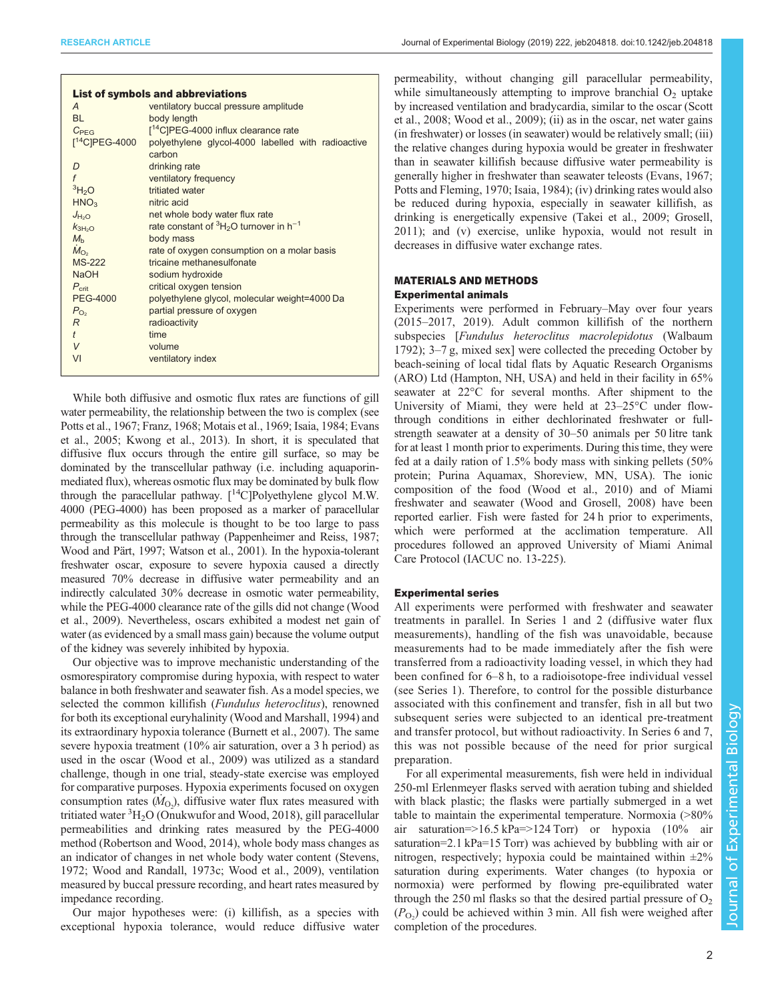| Journal of Experimental Biology (2019) 222, jeb 204818. doi:10.1242/jeb.204818 |  |  |
|--------------------------------------------------------------------------------|--|--|
|--------------------------------------------------------------------------------|--|--|

| <b>List of symbols and abbreviations</b> |                                                             |  |
|------------------------------------------|-------------------------------------------------------------|--|
| A                                        | ventilatory buccal pressure amplitude                       |  |
| <b>BL</b>                                | body length                                                 |  |
| C <sub>PFG</sub>                         | [ <sup>14</sup> C]PEG-4000 influx clearance rate            |  |
| [ <sup>14</sup> C]PEG-4000               | polyethylene glycol-4000 labelled with radioactive          |  |
|                                          | carbon                                                      |  |
| D                                        | drinking rate                                               |  |
| f                                        | ventilatory frequency                                       |  |
| ${}^{3}H_{2}O$                           | tritiated water                                             |  |
| HNO <sub>3</sub>                         | nitric acid                                                 |  |
| $J_{H_2O}$                               | net whole body water flux rate                              |  |
| $k_{3H_2O}$                              | rate constant of ${}^{3}H_{2}O$ turnover in h <sup>-1</sup> |  |
| $M_h$                                    | body mass                                                   |  |
| $M_{\odot}$                              | rate of oxygen consumption on a molar basis                 |  |
| MS-222                                   | tricaine methanesulfonate                                   |  |
| <b>NaOH</b>                              | sodium hydroxide                                            |  |
| $P_{\text{crit}}$                        | critical oxygen tension                                     |  |
| <b>PEG-4000</b>                          | polyethylene glycol, molecular weight=4000 Da               |  |
| $P_{\text{O}_2}$                         | partial pressure of oxygen                                  |  |
| R                                        | radioactivity                                               |  |
| $\ddot{r}$                               | time                                                        |  |
| V                                        | volume                                                      |  |
| VI                                       | ventilatory index                                           |  |
|                                          |                                                             |  |

While both diffusive and osmotic flux rates are functions of gill water permeability, the relationship between the two is complex (see [Potts et al., 1967](#page-11-0); [Franz, 1968](#page-10-0); [Motais et al., 1969](#page-11-0); [Isaia, 1984;](#page-11-0) [Evans](#page-10-0) [et al., 2005](#page-10-0); [Kwong et al., 2013\)](#page-11-0). In short, it is speculated that diffusive flux occurs through the entire gill surface, so may be dominated by the transcellular pathway (i.e. including aquaporinmediated flux), whereas osmotic flux may be dominated by bulk flow through the paracellular pathway. [14C]Polyethylene glycol M.W. 4000 (PEG-4000) has been proposed as a marker of paracellular permeability as this molecule is thought to be too large to pass through the transcellular pathway [\(Pappenheimer and Reiss, 1987](#page-11-0); [Wood and Pärt, 1997](#page-12-0); [Watson et al., 2001](#page-11-0)). In the hypoxia-tolerant freshwater oscar, exposure to severe hypoxia caused a directly measured 70% decrease in diffusive water permeability and an indirectly calculated 30% decrease in osmotic water permeability, while the PEG-4000 clearance rate of the gills did not change ([Wood](#page-12-0) [et al., 2009](#page-12-0)). Nevertheless, oscars exhibited a modest net gain of water (as evidenced by a small mass gain) because the volume output of the kidney was severely inhibited by hypoxia.

Our objective was to improve mechanistic understanding of the osmorespiratory compromise during hypoxia, with respect to water balance in both freshwater and seawater fish. As a model species, we selected the common killifish (Fundulus heteroclitus), renowned for both its exceptional euryhalinity ([Wood and Marshall, 1994\)](#page-12-0) and its extraordinary hypoxia tolerance ([Burnett et al., 2007\)](#page-10-0). The same severe hypoxia treatment (10% air saturation, over a 3 h period) as used in the oscar ([Wood et al., 2009](#page-12-0)) was utilized as a standard challenge, though in one trial, steady-state exercise was employed for comparative purposes. Hypoxia experiments focused on oxygen consumption rates  $(M<sub>O<sub>2</sub></sub>)$ , diffusive water flux rates measured with tritiated water <sup>3</sup>H<sub>2</sub>O [\(Onukwufor and Wood, 2018](#page-11-0)), gill paracellular permeabilities and drinking rates measured by the PEG-4000 method ([Robertson and Wood, 2014\)](#page-11-0), whole body mass changes as an indicator of changes in net whole body water content [\(Stevens,](#page-11-0) [1972](#page-11-0); [Wood and Randall, 1973c; Wood et al., 2009](#page-12-0)), ventilation measured by buccal pressure recording, and heart rates measured by impedance recording.

Our major hypotheses were: (i) killifish, as a species with exceptional hypoxia tolerance, would reduce diffusive water

permeability, without changing gill paracellular permeability, while simultaneously attempting to improve branchial  $O<sub>2</sub>$  uptake by increased ventilation and bradycardia, similar to the oscar ([Scott](#page-11-0) [et al., 2008](#page-11-0); [Wood et al., 2009\)](#page-12-0); (ii) as in the oscar, net water gains (in freshwater) or losses (in seawater) would be relatively small; (iii) the relative changes during hypoxia would be greater in freshwater than in seawater killifish because diffusive water permeability is generally higher in freshwater than seawater teleosts [\(Evans, 1967](#page-10-0); [Potts and Fleming, 1970; Isaia, 1984\)](#page-11-0); (iv) drinking rates would also be reduced during hypoxia, especially in seawater killifish, as drinking is energetically expensive [\(Takei et al., 2009](#page-11-0); [Grosell,](#page-10-0) [2011\)](#page-10-0); and (v) exercise, unlike hypoxia, would not result in decreases in diffusive water exchange rates.

# MATERIALS AND METHODS Experimental animals

Experiments were performed in February–May over four years (2015–2017, 2019). Adult common killifish of the northern subspecies [Fundulus heteroclitus macrolepidotus (Walbaum 1792); 3–7 g, mixed sex] were collected the preceding October by beach-seining of local tidal flats by Aquatic Research Organisms (ARO) Ltd (Hampton, NH, USA) and held in their facility in 65% seawater at 22°C for several months. After shipment to the University of Miami, they were held at 23–25°C under flowthrough conditions in either dechlorinated freshwater or fullstrength seawater at a density of 30–50 animals per 50 litre tank for at least 1 month prior to experiments. During this time, they were fed at a daily ration of 1.5% body mass with sinking pellets (50% protein; Purina Aquamax, Shoreview, MN, USA). The ionic composition of the food ([Wood et al., 2010\)](#page-12-0) and of Miami freshwater and seawater ([Wood and Grosell, 2008\)](#page-11-0) have been reported earlier. Fish were fasted for 24 h prior to experiments, which were performed at the acclimation temperature. All procedures followed an approved University of Miami Animal Care Protocol (IACUC no. 13-225).

# Experimental series

All experiments were performed with freshwater and seawater treatments in parallel. In Series 1 and 2 (diffusive water flux measurements), handling of the fish was unavoidable, because measurements had to be made immediately after the fish were transferred from a radioactivity loading vessel, in which they had been confined for 6–8 h, to a radioisotope-free individual vessel (see Series 1). Therefore, to control for the possible disturbance associated with this confinement and transfer, fish in all but two subsequent series were subjected to an identical pre-treatment and transfer protocol, but without radioactivity. In Series 6 and 7, this was not possible because of the need for prior surgical preparation.

For all experimental measurements, fish were held in individual 250-ml Erlenmeyer flasks served with aeration tubing and shielded with black plastic; the flasks were partially submerged in a wet table to maintain the experimental temperature. Normoxia (>80% air saturation=>16.5 kPa=>124 Torr) or hypoxia (10% air saturation=2.1 kPa=15 Torr) was achieved by bubbling with air or nitrogen, respectively; hypoxia could be maintained within  $\pm 2\%$ saturation during experiments. Water changes (to hypoxia or normoxia) were performed by flowing pre-equilibrated water through the 250 ml flasks so that the desired partial pressure of  $O<sub>2</sub>$  $(P<sub>O2</sub>)$  could be achieved within 3 min. All fish were weighed after completion of the procedures.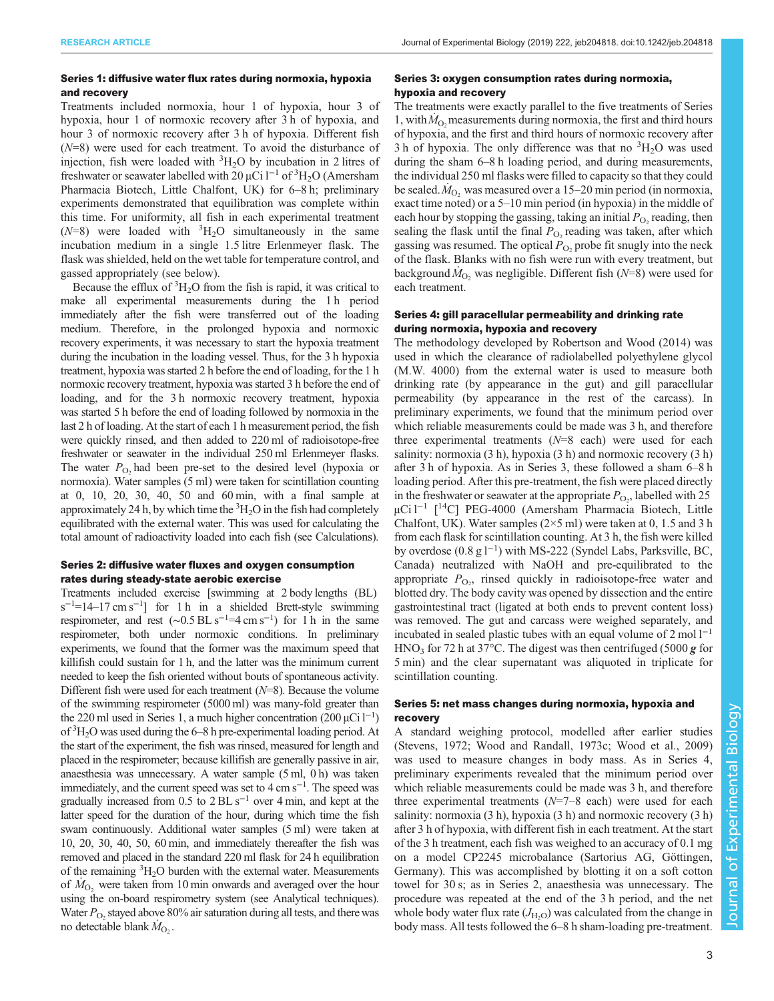# Series 1: diffusive water flux rates during normoxia, hypoxia and recovery

Treatments included normoxia, hour 1 of hypoxia, hour 3 of hypoxia, hour 1 of normoxic recovery after 3 h of hypoxia, and hour 3 of normoxic recovery after 3 h of hypoxia. Different fish  $(N=8)$  were used for each treatment. To avoid the disturbance of injection, fish were loaded with  ${}^{3}H_{2}O$  by incubation in 2 litres of freshwater or seawater labelled with 20  $\mu$ Ci l<sup>-1</sup> of <sup>3</sup>H<sub>2</sub>O (Amersham Pharmacia Biotech, Little Chalfont, UK) for 6–8 h; preliminary experiments demonstrated that equilibration was complete within this time. For uniformity, all fish in each experimental treatment  $(N=8)$  were loaded with <sup>3</sup>H<sub>2</sub>O simultaneously in the same incubation medium in a single 1.5 litre Erlenmeyer flask. The flask was shielded, held on the wet table for temperature control, and gassed appropriately (see below).

Because the efflux of  ${}^{3}H_{2}O$  from the fish is rapid, it was critical to make all experimental measurements during the 1 h period immediately after the fish were transferred out of the loading medium. Therefore, in the prolonged hypoxia and normoxic recovery experiments, it was necessary to start the hypoxia treatment during the incubation in the loading vessel. Thus, for the 3 h hypoxia treatment, hypoxia was started 2 h before the end of loading, for the 1 h normoxic recovery treatment, hypoxia was started 3 h before the end of loading, and for the 3 h normoxic recovery treatment, hypoxia was started 5 h before the end of loading followed by normoxia in the last 2 h of loading. At the start of each 1 h measurement period, the fish were quickly rinsed, and then added to 220 ml of radioisotope-free freshwater or seawater in the individual 250 ml Erlenmeyer flasks. The water  $P_{\text{O}_2}$  had been pre-set to the desired level (hypoxia or normoxia). Water samples (5 ml) were taken for scintillation counting at 0, 10, 20, 30, 40, 50 and 60 min, with a final sample at approximately 24 h, by which time the  ${}^{3}H_{2}O$  in the fish had completely equilibrated with the external water. This was used for calculating the total amount of radioactivity loaded into each fish (see Calculations).

# Series 2: diffusive water fluxes and oxygen consumption rates during steady-state aerobic exercise

Treatments included exercise [swimming at 2 body lengths (BL)  $s^{-1}$ =14–17 cm s<sup>-1</sup>] for 1 h in a shielded Brett-style swimming respirometer, and rest  $({\sim}0.5 \text{ BL s}^{-1} = 4 \text{ cm s}^{-1})$  for 1 h in the same respirometer, both under normoxic conditions. In preliminary experiments, we found that the former was the maximum speed that killifish could sustain for 1 h, and the latter was the minimum current needed to keep the fish oriented without bouts of spontaneous activity. Different fish were used for each treatment  $(N=8)$ . Because the volume of the swimming respirometer (5000 ml) was many-fold greater than the 220 ml used in Series 1, a much higher concentration (200 μCi l<sup>-1</sup>) of <sup>3</sup> H2O was used during the 6–8 h pre-experimental loading period. At the start of the experiment, the fish was rinsed, measured for length and placed in the respirometer; because killifish are generally passive in air, anaesthesia was unnecessary. A water sample (5 ml, 0 h) was taken immediately, and the current speed was set to 4 cm s−<sup>1</sup> . The speed was gradually increased from 0.5 to 2 BL s<sup>-1</sup> over 4 min, and kept at the latter speed for the duration of the hour, during which time the fish swam continuously. Additional water samples (5 ml) were taken at 10, 20, 30, 40, 50, 60 min, and immediately thereafter the fish was removed and placed in the standard 220 ml flask for 24 h equilibration of the remaining <sup>3</sup>H<sub>2</sub>O burden with the external water. Measurements of  $\dot{M}_{\rm O}$ , were taken from 10 min onwards and averaged over the hour using the on-board respirometry system (see Analytical techniques). Water  $P_{\text{O}_2}$  stayed above 80% air saturation during all tests, and there was no detectable blank  $M_{\odot}$ .

# Series 3: oxygen consumption rates during normoxia, hypoxia and recovery

The treatments were exactly parallel to the five treatments of Series 1, with  $M<sub>O</sub>$ , measurements during normoxia, the first and third hours of hypoxia, and the first and third hours of normoxic recovery after 3 h of hypoxia. The only difference was that no  ${}^{3}H_{2}O$  was used during the sham 6–8 h loading period, and during measurements, the individual 250 ml flasks were filled to capacity so that they could be sealed.  $M<sub>O</sub>$ , was measured over a 15–20 min period (in normoxia, exact time noted) or a 5–10 min period (in hypoxia) in the middle of each hour by stopping the gassing, taking an initial  $P_{\text{O}_2}$  reading, then sealing the flask until the final  $P_{\text{O}_2}$  reading was taken, after which gassing was resumed. The optical  $P_{\text{O}_2}$  probe fit snugly into the neck of the flask. Blanks with no fish were run with every treatment, but background  $M_{\text{O}_2}$  was negligible. Different fish (N=8) were used for each treatment.

# Series 4: gill paracellular permeability and drinking rate during normoxia, hypoxia and recovery

The methodology developed by [Robertson and Wood \(2014\)](#page-11-0) was used in which the clearance of radiolabelled polyethylene glycol (M.W. 4000) from the external water is used to measure both drinking rate (by appearance in the gut) and gill paracellular permeability (by appearance in the rest of the carcass). In preliminary experiments, we found that the minimum period over which reliable measurements could be made was 3 h, and therefore three experimental treatments  $(N=8 \text{ each})$  were used for each salinity: normoxia (3 h), hypoxia (3 h) and normoxic recovery (3 h) after 3 h of hypoxia. As in Series 3, these followed a sham 6–8 h loading period. After this pre-treatment, the fish were placed directly in the freshwater or seawater at the appropriate  $P_{\text{O}_2}$ , labelled with 25 µCi l<sup>-1</sup> [<sup>14</sup>C] PEG-4000 (Amersham Pharmacia Biotech, Little Chalfont, UK). Water samples  $(2\times5 \text{ ml})$  were taken at 0, 1.5 and 3 h from each flask for scintillation counting. At 3 h, the fish were killed by overdose (0.8 g l−<sup>1</sup> ) with MS-222 (Syndel Labs, Parksville, BC, Canada) neutralized with NaOH and pre-equilibrated to the appropriate  $P_{\text{O}_2}$ , rinsed quickly in radioisotope-free water and blotted dry. The body cavity was opened by dissection and the entire gastrointestinal tract (ligated at both ends to prevent content loss) was removed. The gut and carcass were weighed separately, and incubated in sealed plastic tubes with an equal volume of 2 mol l−<sup>1</sup> HNO<sub>3</sub> for 72 h at 37°C. The digest was then centrifuged (5000 g for 5 min) and the clear supernatant was aliquoted in triplicate for scintillation counting.

# Series 5: net mass changes during normoxia, hypoxia and recovery

A standard weighing protocol, modelled after earlier studies [\(Stevens, 1972;](#page-11-0) [Wood and Randall, 1973c](#page-12-0); [Wood et al., 2009\)](#page-12-0) was used to measure changes in body mass. As in Series 4, preliminary experiments revealed that the minimum period over which reliable measurements could be made was 3 h, and therefore three experimental treatments  $(N=7-8 \text{ each})$  were used for each salinity: normoxia (3 h), hypoxia (3 h) and normoxic recovery (3 h) after 3 h of hypoxia, with different fish in each treatment. At the start of the 3 h treatment, each fish was weighed to an accuracy of 0.1 mg on a model CP2245 microbalance (Sartorius AG, Göttingen, Germany). This was accomplished by blotting it on a soft cotton towel for 30 s; as in Series 2, anaesthesia was unnecessary. The procedure was repeated at the end of the 3 h period, and the net whole body water flux rate  $(J_{H<sub>2</sub>O})$  was calculated from the change in body mass. All tests followed the 6–8 h sham-loading pre-treatment.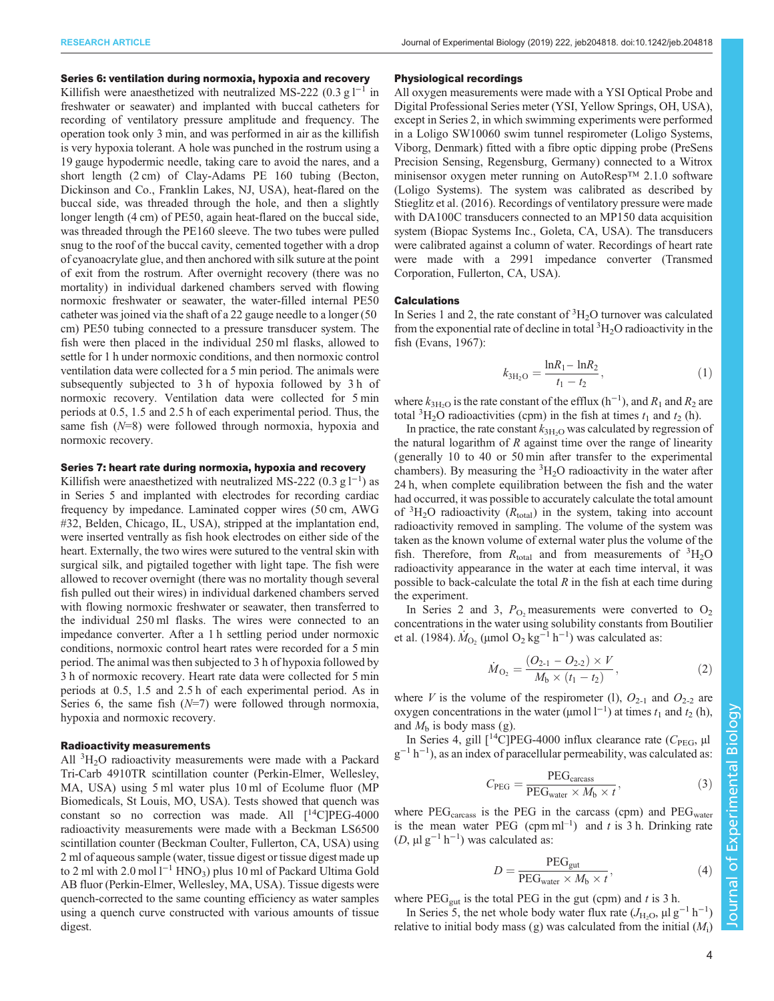#### Series 6: ventilation during normoxia, hypoxia and recovery

Killifish were anaesthetized with neutralized MS-222 (0.3 g  $l^{-1}$  in freshwater or seawater) and implanted with buccal catheters for recording of ventilatory pressure amplitude and frequency. The operation took only 3 min, and was performed in air as the killifish is very hypoxia tolerant. A hole was punched in the rostrum using a 19 gauge hypodermic needle, taking care to avoid the nares, and a short length (2 cm) of Clay-Adams PE 160 tubing (Becton, Dickinson and Co., Franklin Lakes, NJ, USA), heat-flared on the buccal side, was threaded through the hole, and then a slightly longer length (4 cm) of PE50, again heat-flared on the buccal side, was threaded through the PE160 sleeve. The two tubes were pulled snug to the roof of the buccal cavity, cemented together with a drop of cyanoacrylate glue, and then anchored with silk suture at the point of exit from the rostrum. After overnight recovery (there was no mortality) in individual darkened chambers served with flowing normoxic freshwater or seawater, the water-filled internal PE50 catheter was joined via the shaft of a 22 gauge needle to a longer (50 cm) PE50 tubing connected to a pressure transducer system. The fish were then placed in the individual 250 ml flasks, allowed to settle for 1 h under normoxic conditions, and then normoxic control ventilation data were collected for a 5 min period. The animals were subsequently subjected to 3 h of hypoxia followed by 3 h of normoxic recovery. Ventilation data were collected for 5 min periods at 0.5, 1.5 and 2.5 h of each experimental period. Thus, the same fish  $(N=8)$  were followed through normoxia, hypoxia and normoxic recovery.

# Series 7: heart rate during normoxia, hypoxia and recovery

Killifish were anaesthetized with neutralized MS-222 (0.3  $g l^{-1}$ ) as in Series 5 and implanted with electrodes for recording cardiac frequency by impedance. Laminated copper wires (50 cm, AWG #32, Belden, Chicago, IL, USA), stripped at the implantation end, were inserted ventrally as fish hook electrodes on either side of the heart. Externally, the two wires were sutured to the ventral skin with surgical silk, and pigtailed together with light tape. The fish were allowed to recover overnight (there was no mortality though several fish pulled out their wires) in individual darkened chambers served with flowing normoxic freshwater or seawater, then transferred to the individual 250 ml flasks. The wires were connected to an impedance converter. After a 1 h settling period under normoxic conditions, normoxic control heart rates were recorded for a 5 min period. The animal was then subjected to 3 h of hypoxia followed by 3 h of normoxic recovery. Heart rate data were collected for 5 min periods at 0.5, 1.5 and 2.5 h of each experimental period. As in Series 6, the same fish  $(N=7)$  were followed through normoxia, hypoxia and normoxic recovery.

# Radioactivity measurements

All <sup>3</sup>H<sub>2</sub>O radioactivity measurements were made with a Packard Tri-Carb 4910TR scintillation counter (Perkin-Elmer, Wellesley, MA, USA) using 5 ml water plus 10 ml of Ecolume fluor (MP Biomedicals, St Louis, MO, USA). Tests showed that quench was constant so no correction was made. All  $[^{14}C]PEG-4000$ radioactivity measurements were made with a Beckman LS6500 scintillation counter (Beckman Coulter, Fullerton, CA, USA) using 2 ml of aqueous sample (water, tissue digest or tissue digest made up to 2 ml with 2.0 mol l−<sup>1</sup> HNO3) plus 10 ml of Packard Ultima Gold AB fluor (Perkin-Elmer, Wellesley, MA, USA). Tissue digests were quench-corrected to the same counting efficiency as water samples using a quench curve constructed with various amounts of tissue digest.

#### Physiological recordings

All oxygen measurements were made with a YSI Optical Probe and Digital Professional Series meter (YSI, Yellow Springs, OH, USA), except in Series 2, in which swimming experiments were performed in a Loligo SW10060 swim tunnel respirometer (Loligo Systems, Viborg, Denmark) fitted with a fibre optic dipping probe (PreSens Precision Sensing, Regensburg, Germany) connected to a Witrox minisensor oxygen meter running on AutoResp™ 2.1.0 software (Loligo Systems). The system was calibrated as described by [Stieglitz et al. \(2016\).](#page-11-0) Recordings of ventilatory pressure were made with DA100C transducers connected to an MP150 data acquisition system (Biopac Systems Inc., Goleta, CA, USA). The transducers were calibrated against a column of water. Recordings of heart rate were made with a 2991 impedance converter (Transmed Corporation, Fullerton, CA, USA).

#### Calculations

In Series 1 and 2, the rate constant of  ${}^{3}H_{2}O$  turnover was calculated from the exponential rate of decline in total  ${}^{3}H_{2}O$  radioactivity in the fish ([Evans, 1967\)](#page-10-0):

$$
k_{3\mathrm{H}_2\mathrm{O}} = \frac{\ln R_1 - \ln R_2}{t_1 - t_2},\tag{1}
$$

where  $k_{3H_2O}$  is the rate constant of the efflux (h<sup>-1</sup>), and  $R_1$  and  $R_2$  are total <sup>3</sup>H<sub>2</sub>O radioactivities (cpm) in the fish at times  $t_1$  and  $t_2$  (h).

In practice, the rate constant  $k_{3H_2O}$  was calculated by regression of the natural logarithm of  $R$  against time over the range of linearity (generally 10 to 40 or 50 min after transfer to the experimental chambers). By measuring the  ${}^{3}H_{2}O$  radioactivity in the water after 24 h, when complete equilibration between the fish and the water had occurred, it was possible to accurately calculate the total amount of  ${}^{3}H_{2}O$  radioactivity ( $R_{\text{total}}$ ) in the system, taking into account radioactivity removed in sampling. The volume of the system was taken as the known volume of external water plus the volume of the fish. Therefore, from  $R_{\text{total}}$  and from measurements of  ${}^{3}H_{2}O$ radioactivity appearance in the water at each time interval, it was possible to back-calculate the total  $R$  in the fish at each time during the experiment.

In Series 2 and 3,  $P_{\text{O}_2}$  measurements were converted to  $\text{O}_2$ concentrations in the water using solubility constants from [Boutilier](#page-10-0) [et al. \(1984\)](#page-10-0).  $\dot{M}_{\text{O}_2}$  (µmol  $\text{O}_2$  kg<sup>-1</sup> h<sup>-1</sup>) was calculated as:

$$
\dot{M}_{\text{O}_2} = \frac{(O_{2\text{-}1} - O_{2\text{-}2}) \times V}{M_{\text{b}} \times (t_1 - t_2)},\tag{2}
$$

where V is the volume of the respirometer (1),  $O_{2-1}$  and  $O_{2-2}$  are oxygen concentrations in the water (µmol  $l^{-1}$ ) at times  $t_1$  and  $t_2$  (h), and  $M<sub>b</sub>$  is body mass (g).

In Series 4, gill  $[^{14}$ C]PEG-4000 influx clearance rate ( $C_{\text{PEG}}$ ,  $\mu$ l  $g^{-1} h^{-1}$ ), as an index of paracellular permeability, was calculated as:

$$
C_{\rm PEG} = \frac{\rm PEG_{carcass}}{\rm PEG_{water} \times M_b \times t},\tag{3}
$$

where  $PEG_{\text{carcass}}$  is the PEG in the carcass (cpm) and  $PEG_{\text{water}}$ is the mean water PEG (cpm ml<sup>-1</sup>) and  $t$  is 3 h. Drinking rate (D,  $\mu$ l g<sup>-1</sup> h<sup>-1</sup>) was calculated as:

$$
D = \frac{\text{PEG}_{\text{gut}}}{\text{PEG}_{\text{water}} \times M_{\text{b}} \times t},\tag{4}
$$

where  $PEG_{gut}$  is the total PEG in the gut (cpm) and t is 3 h.

In Series 5, the net whole body water flux rate  $(J_{H_2O}, \mu g^{-1} h^{-1})$ relative to initial body mass (g) was calculated from the initial  $(M<sub>i</sub>)$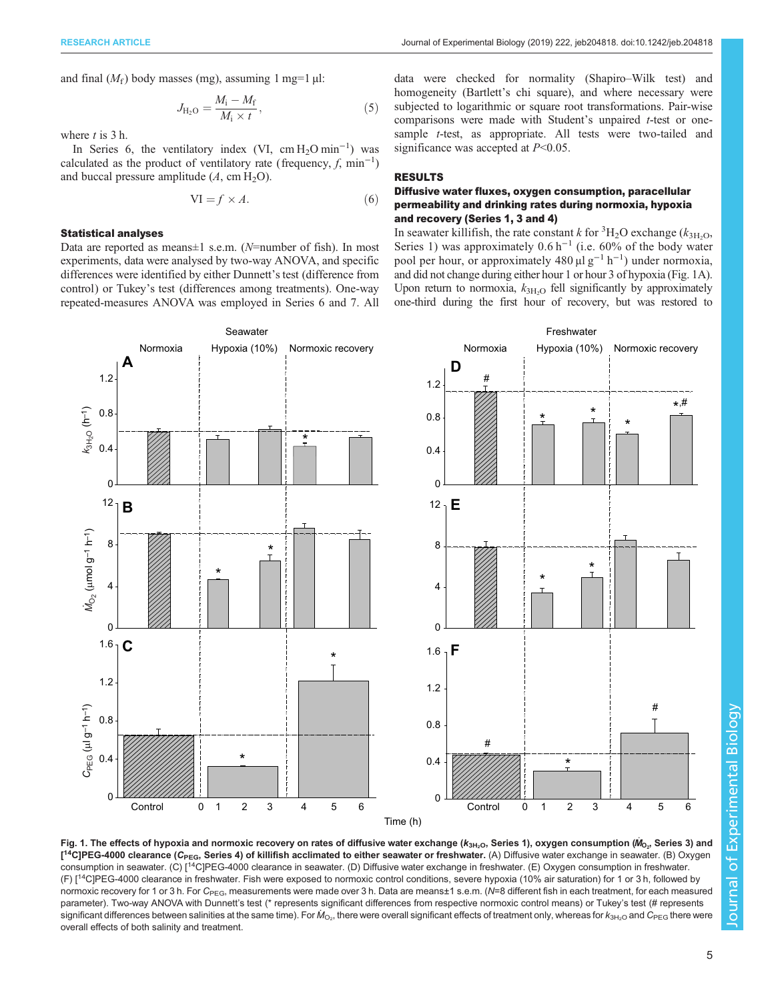<span id="page-4-0"></span>and final  $(M_f)$  body masses (mg), assuming 1 mg=1 µl:

$$
J_{\text{H}_2\text{O}} = \frac{M_i - M_f}{M_i \times t},\tag{5}
$$

where  $t$  is  $3$  h.

In Series 6, the ventilatory index (VI, cm  $H_2O$  min<sup>-1</sup>) was calculated as the product of ventilatory rate (frequency,  $f$ , min<sup>-1</sup>) and buccal pressure amplitude  $(A, \text{ cm H}_2O)$ .

$$
VI = f \times A.
$$
 (6)

#### Statistical analyses

Data are reported as means±1 s.e.m. (N=number of fish). In most experiments, data were analysed by two-way ANOVA, and specific differences were identified by either Dunnett's test (difference from control) or Tukey's test (differences among treatments). One-way repeated-measures ANOVA was employed in Series 6 and 7. All

data were checked for normality (Shapiro–Wilk test) and homogeneity (Bartlett's chi square), and where necessary were subjected to logarithmic or square root transformations. Pair-wise comparisons were made with Student's unpaired t-test or onesample *t*-test, as appropriate. All tests were two-tailed and significance was accepted at  $P<0.05$ .

#### RESULTS

# Diffusive water fluxes, oxygen consumption, paracellular permeability and drinking rates during normoxia, hypoxia and recovery (Series 1, 3 and 4)

In seawater killifish, the rate constant k for  ${}^{3}H_{2}O$  exchange ( $k_{3H_{2}O}$ , Series 1) was approximately  $0.6 h^{-1}$  (i.e. 60% of the body water pool per hour, or approximately 480 µl  $g^{-1}$  h<sup>-1</sup>) under normoxia, and did not change during either hour 1 or hour 3 of hypoxia (Fig. 1A). Upon return to normoxia,  $k_{3\text{H}_2\text{O}}$  fell significantly by approximately one-third during the first hour of recovery, but was restored to



Fig. 1. The effects of hypoxia and normoxic recovery on rates of diffusive water exchange ( $k_\mathrm{3H_2O}$ , Series 1), oxygen consumption (M<sub>O2</sub>, Series 3) and [<sup>14</sup>C]PEG-4000 clearance (C<sub>PEG</sub>, Series 4) of killifish acclimated to either seawater or freshwater. (A) Diffusive water exchange in seawater. (B) Oxygen consumption in seawater. (C) [<sup>14</sup>C]PEG-4000 clearance in seawater. (D) Diffusive water exchange in freshwater. (E) Oxygen consumption in freshwater. (F) [14C]PEG-4000 clearance in freshwater. Fish were exposed to normoxic control conditions, severe hypoxia (10% air saturation) for 1 or 3 h, followed by normoxic recovery for 1 or 3 h. For C<sub>PEG</sub>, measurements were made over 3 h. Data are means±1 s.e.m. (N=8 different fish in each treatment, for each measured parameter). Two-way ANOVA with Dunnett's test (\* represents significant differences from respective normoxic control means) or Tukey's test (# represents significant differences between salinities at the same time). For  $\dot{M}_{\rm O_2}$ , there were overall significant effects of treatment only, whereas for  $k_{\rm 3H_2O}$  and  $C_{\rm PEG}$  there were overall effects of both salinity and treatment.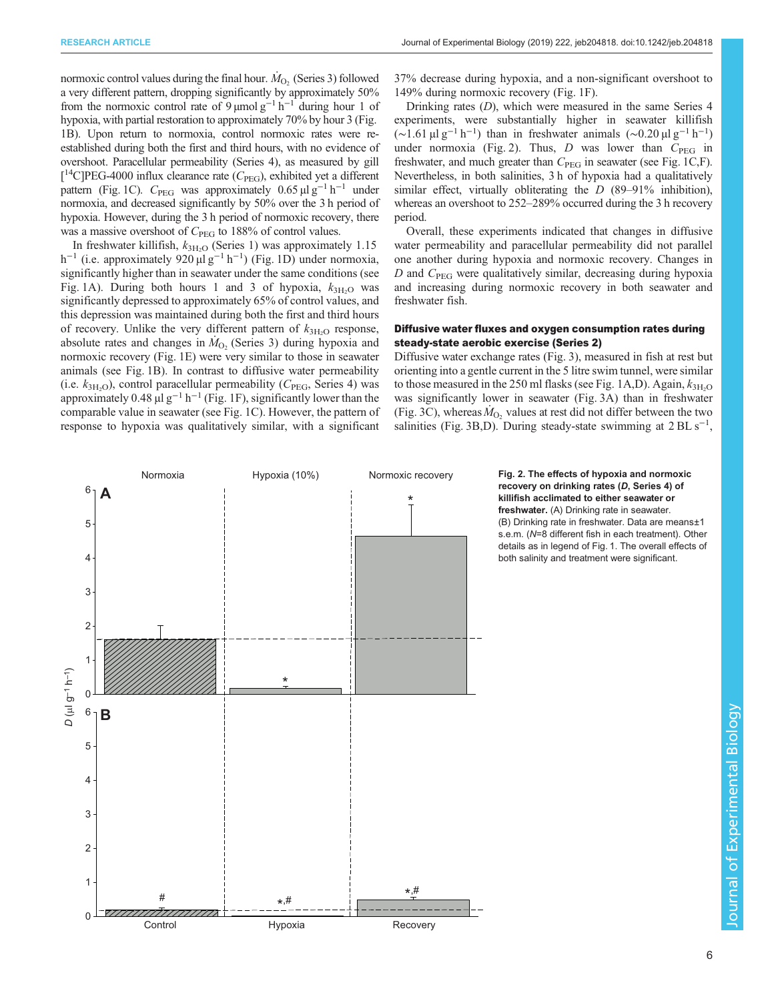<span id="page-5-0"></span>normoxic control values during the final hour.  $M<sub>O<sub>2</sub></sub>$  (Series 3) followed a very different pattern, dropping significantly by approximately 50% from the normoxic control rate of 9 µmol  $g^{-1}$  h<sup>-1</sup> during hour 1 of hypoxia, with partial restoration to approximately 70% by hour 3 ([Fig.](#page-4-0) [1B](#page-4-0)). Upon return to normoxia, control normoxic rates were reestablished during both the first and third hours, with no evidence of overshoot. Paracellular permeability (Series 4), as measured by gill [ $^{14}$ C]PEG-4000 influx clearance rate ( $C_{\text{PEG}}$ ), exhibited yet a different pattern [\(Fig. 1C](#page-4-0)).  $C_{\text{PEG}}$  was approximately 0.65 µl g<sup>-1</sup> h<sup>-1</sup> under normoxia, and decreased significantly by 50% over the 3 h period of hypoxia. However, during the 3 h period of normoxic recovery, there was a massive overshoot of  $C_{\text{PEG}}$  to 188% of control values.

In freshwater killifish,  $k_{3H<sub>2</sub>O}$  (Series 1) was approximately 1.15 h<sup>-1</sup> (i.e. approximately 920 µl g<sup>-1</sup> h<sup>-1</sup>) [\(Fig. 1D](#page-4-0)) under normoxia, significantly higher than in seawater under the same conditions (see [Fig. 1A](#page-4-0)). During both hours 1 and 3 of hypoxia,  $k_{3H_2O}$  was significantly depressed to approximately 65% of control values, and this depression was maintained during both the first and third hours of recovery. Unlike the very different pattern of  $k_{\rm 3H_2O}$  response, absolute rates and changes in  $M<sub>O<sub>2</sub></sub>$  (Series 3) during hypoxia and normoxic recovery ([Fig. 1](#page-4-0)E) were very similar to those in seawater animals (see [Fig. 1](#page-4-0)B). In contrast to diffusive water permeability (i.e.  $k_{3H_2O}$ ), control paracellular permeability ( $C_{\text{PEG}}$ , Series 4) was approximately 0.48  $\mu$ l g<sup>-1</sup> h<sup>-1</sup> ([Fig. 1](#page-4-0)F), significantly lower than the comparable value in seawater (see [Fig. 1](#page-4-0)C). However, the pattern of response to hypoxia was qualitatively similar, with a significant 37% decrease during hypoxia, and a non-significant overshoot to 149% during normoxic recovery ([Fig. 1F](#page-4-0)).

Drinking rates (D), which were measured in the same Series 4 experiments, were substantially higher in seawater killifish (~1.61  $\mu$ l g<sup>-1</sup> h<sup>-1</sup>) than in freshwater animals (~0.20  $\mu$ l g<sup>-1</sup> h<sup>-1</sup>) under normoxia (Fig. 2). Thus,  $D$  was lower than  $C_{\text{PEG}}$  in freshwater, and much greater than  $C_{\text{PEG}}$  in seawater (see [Fig. 1](#page-4-0)C,F). Nevertheless, in both salinities, 3 h of hypoxia had a qualitatively similar effect, virtually obliterating the  $D$  (89–91% inhibition), whereas an overshoot to 252–289% occurred during the 3 h recovery period.

Overall, these experiments indicated that changes in diffusive water permeability and paracellular permeability did not parallel one another during hypoxia and normoxic recovery. Changes in D and  $C_{\text{PEG}}$  were qualitatively similar, decreasing during hypoxia and increasing during normoxic recovery in both seawater and freshwater fish.

# Diffusive water fluxes and oxygen consumption rates during steady-state aerobic exercise (Series 2)

Diffusive water exchange rates [\(Fig. 3\)](#page-6-0), measured in fish at rest but orienting into a gentle current in the 5 litre swim tunnel, were similar to those measured in the 250 ml flasks (see [Fig. 1](#page-4-0)A,D). Again,  $k_{3\text{H}_2\text{O}}$ was significantly lower in seawater ([Fig. 3](#page-6-0)A) than in freshwater [\(Fig. 3C](#page-6-0)), whereas  $M<sub>O</sub>$ , values at rest did not differ between the two salinities ([Fig. 3](#page-6-0)B,D). During steady-state swimming at  $2 BL s^{-1}$ ,



Fig. 2. The effects of hypoxia and normoxic recovery on drinking rates (D, Series 4) of killifish acclimated to either seawater or freshwater. (A) Drinking rate in seawater. (B) Drinking rate in freshwater. Data are means±1 s.e.m. (N=8 different fish in each treatment). Other details as in legend of [Fig. 1.](#page-4-0) The overall effects of both salinity and treatment were significant.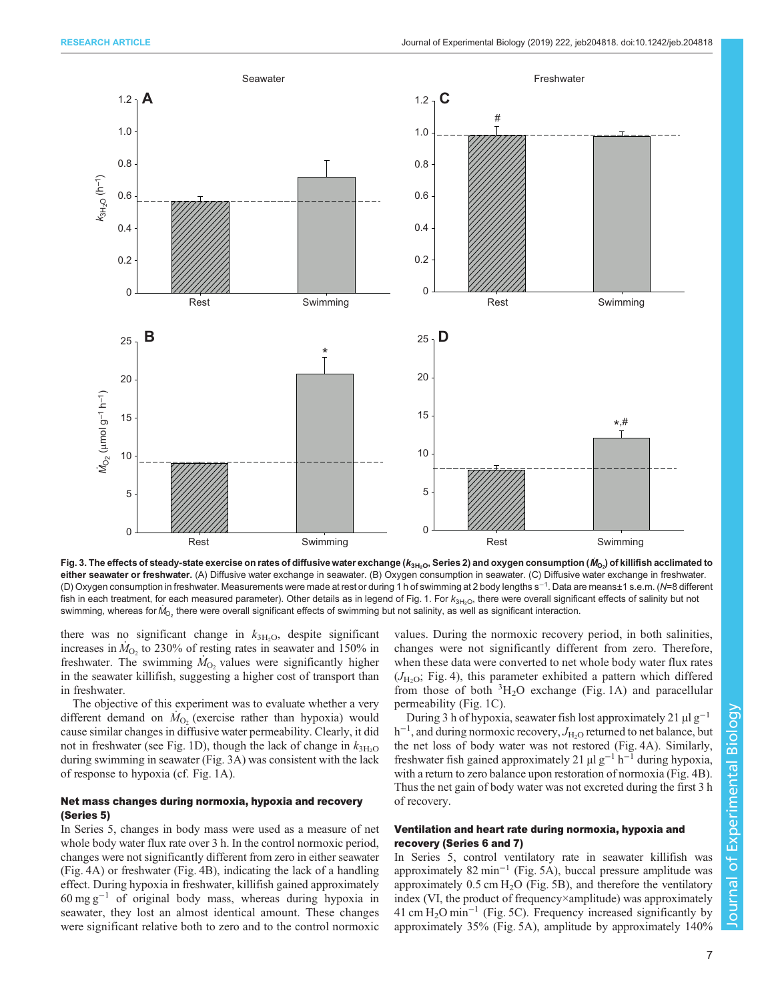<span id="page-6-0"></span>

Fig. 3. The effects of steady-state exercise on rates of diffusive water exchange ( $k_{3{\rm H_2O}},$  Series 2) and oxygen consumption ( $\dot{M}_{\rm O_2}$ ) of killifish acclimated to either seawater or freshwater. (A) Diffusive water exchange in seawater. (B) Oxygen consumption in seawater. (C) Diffusive water exchange in freshwater. (D) Oxygen consumption in freshwater. Measurements were made at rest or during 1 h of swimming at 2 body lengths s−<sup>1</sup> . Data are means±1 s.e.m. (N=8 different fish in each treatment, for each measured parameter). Other details as in legend of [Fig. 1.](#page-4-0) For  $k_{3H_2O}$ , there were overall significant effects of salinity but not swimming, whereas for  $\dot M_{\rm O_2}$  there were overall significant effects of swimming but not salinity, as well as significant interaction.

there was no significant change in  $k_{3H_2O}$ , despite significant increases in  $M<sub>O</sub>$ , to 230% of resting rates in seawater and 150% in freshwater. The swimming  $M<sub>O</sub>$ , values were significantly higher in the seawater killifish, suggesting a higher cost of transport than in freshwater.

The objective of this experiment was to evaluate whether a very different demand on  $M<sub>O</sub>$ , (exercise rather than hypoxia) would cause similar changes in diffusive water permeability. Clearly, it did not in freshwater (see [Fig. 1D](#page-4-0)), though the lack of change in  $k_{3H<sub>2</sub>}$ during swimming in seawater (Fig. 3A) was consistent with the lack of response to hypoxia (cf. [Fig. 1](#page-4-0)A).

# Net mass changes during normoxia, hypoxia and recovery (Series 5)

In Series 5, changes in body mass were used as a measure of net whole body water flux rate over 3 h. In the control normoxic period, changes were not significantly different from zero in either seawater [\(Fig. 4A](#page-7-0)) or freshwater ([Fig. 4](#page-7-0)B), indicating the lack of a handling effect. During hypoxia in freshwater, killifish gained approximately 60 mg g−<sup>1</sup> of original body mass, whereas during hypoxia in seawater, they lost an almost identical amount. These changes were significant relative both to zero and to the control normoxic values. During the normoxic recovery period, in both salinities, changes were not significantly different from zero. Therefore, when these data were converted to net whole body water flux rates  $(J_{H_2O};$  [Fig. 4\)](#page-7-0), this parameter exhibited a pattern which differed from those of both  ${}^{3}H_{2}O$  exchange ([Fig. 1A](#page-4-0)) and paracellular permeability [\(Fig. 1C](#page-4-0)).

During 3 h of hypoxia, seawater fish lost approximately 21  $\mu$ l g<sup>-1</sup> h<sup>-1</sup>, and during normoxic recovery,  $J_{\text{H}_2\text{O}}$  returned to net balance, but the net loss of body water was not restored [\(Fig. 4A](#page-7-0)). Similarly, freshwater fish gained approximately 21 µl g<sup>-1</sup> h<sup>-1</sup> during hypoxia, with a return to zero balance upon restoration of normoxia ([Fig. 4](#page-7-0)B). Thus the net gain of body water was not excreted during the first 3 h of recovery.

# Ventilation and heart rate during normoxia, hypoxia and recovery (Series 6 and 7)

In Series 5, control ventilatory rate in seawater killifish was approximately  $82 \text{ min}^{-1}$  ([Fig. 5A](#page-8-0)), buccal pressure amplitude was approximately  $0.5$  cm  $H<sub>2</sub>O$  ([Fig. 5](#page-8-0)B), and therefore the ventilatory index (VI, the product of frequency×amplitude) was approximately 41 cm H2O min<sup>−</sup><sup>1</sup> [\(Fig. 5](#page-8-0)C). Frequency increased significantly by approximately 35% [\(Fig. 5A](#page-8-0)), amplitude by approximately 140%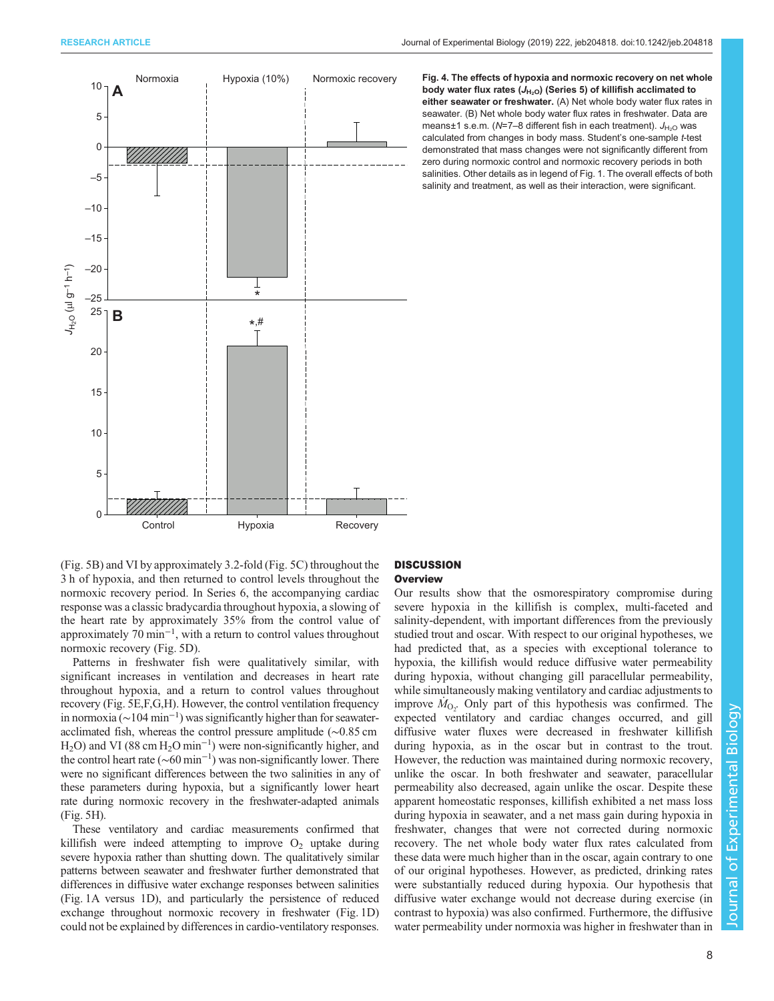<span id="page-7-0"></span>

Fig. 4. The effects of hypoxia and normoxic recovery on net whole body water flux rates  $(J_{H_2O})$  (Series 5) of killifish acclimated to either seawater or freshwater. (A) Net whole body water flux rates in seawater. (B) Net whole body water flux rates in freshwater. Data are means $\pm$ 1 s.e.m. (N=7–8 different fish in each treatment).  $J_{H<sub>2</sub>O}$  was calculated from changes in body mass. Student's one-sample t-test demonstrated that mass changes were not significantly different from zero during normoxic control and normoxic recovery periods in both salinities. Other details as in legend of [Fig. 1.](#page-4-0) The overall effects of both salinity and treatment, as well as their interaction, were significant.

[\(Fig. 5B](#page-8-0)) and VI by approximately 3.2-fold ([Fig. 5](#page-8-0)C) throughout the 3 h of hypoxia, and then returned to control levels throughout the normoxic recovery period. In Series 6, the accompanying cardiac response was a classic bradycardia throughout hypoxia, a slowing of the heart rate by approximately 35% from the control value of approximately 70 min−<sup>1</sup> , with a return to control values throughout normoxic recovery ([Fig. 5](#page-8-0)D).

Patterns in freshwater fish were qualitatively similar, with significant increases in ventilation and decreases in heart rate throughout hypoxia, and a return to control values throughout recovery ([Fig. 5E](#page-8-0),F,G,H). However, the control ventilation frequency in normoxia (∼104 min−<sup>1</sup> ) was significantly higher than for seawateracclimated fish, whereas the control pressure amplitude (∼0.85 cm  $H<sub>2</sub>O$ ) and VI (88 cm  $H<sub>2</sub>O min<sup>-1</sup>$ ) were non-significantly higher, and the control heart rate (∼60 min−<sup>1</sup> ) was non-significantly lower. There were no significant differences between the two salinities in any of these parameters during hypoxia, but a significantly lower heart rate during normoxic recovery in the freshwater-adapted animals [\(Fig. 5](#page-8-0)H).

These ventilatory and cardiac measurements confirmed that killifish were indeed attempting to improve  $O_2$  uptake during severe hypoxia rather than shutting down. The qualitatively similar patterns between seawater and freshwater further demonstrated that differences in diffusive water exchange responses between salinities [\(Fig. 1](#page-4-0)A versus [1D](#page-4-0)), and particularly the persistence of reduced exchange throughout normoxic recovery in freshwater [\(Fig. 1](#page-4-0)D) could not be explained by differences in cardio-ventilatory responses.

# **DISCUSSION**

#### **Overview**

Our results show that the osmorespiratory compromise during severe hypoxia in the killifish is complex, multi-faceted and salinity-dependent, with important differences from the previously studied trout and oscar. With respect to our original hypotheses, we had predicted that, as a species with exceptional tolerance to hypoxia, the killifish would reduce diffusive water permeability during hypoxia, without changing gill paracellular permeability, while simultaneously making ventilatory and cardiac adjustments to improve  $\dot{M}_{O_2}$ . Only part of this hypothesis was confirmed. The expected ventilatory and cardiac changes occurred, and gill diffusive water fluxes were decreased in freshwater killifish during hypoxia, as in the oscar but in contrast to the trout. However, the reduction was maintained during normoxic recovery, unlike the oscar. In both freshwater and seawater, paracellular permeability also decreased, again unlike the oscar. Despite these apparent homeostatic responses, killifish exhibited a net mass loss during hypoxia in seawater, and a net mass gain during hypoxia in freshwater, changes that were not corrected during normoxic recovery. The net whole body water flux rates calculated from these data were much higher than in the oscar, again contrary to one of our original hypotheses. However, as predicted, drinking rates were substantially reduced during hypoxia. Our hypothesis that diffusive water exchange would not decrease during exercise (in contrast to hypoxia) was also confirmed. Furthermore, the diffusive water permeability under normoxia was higher in freshwater than in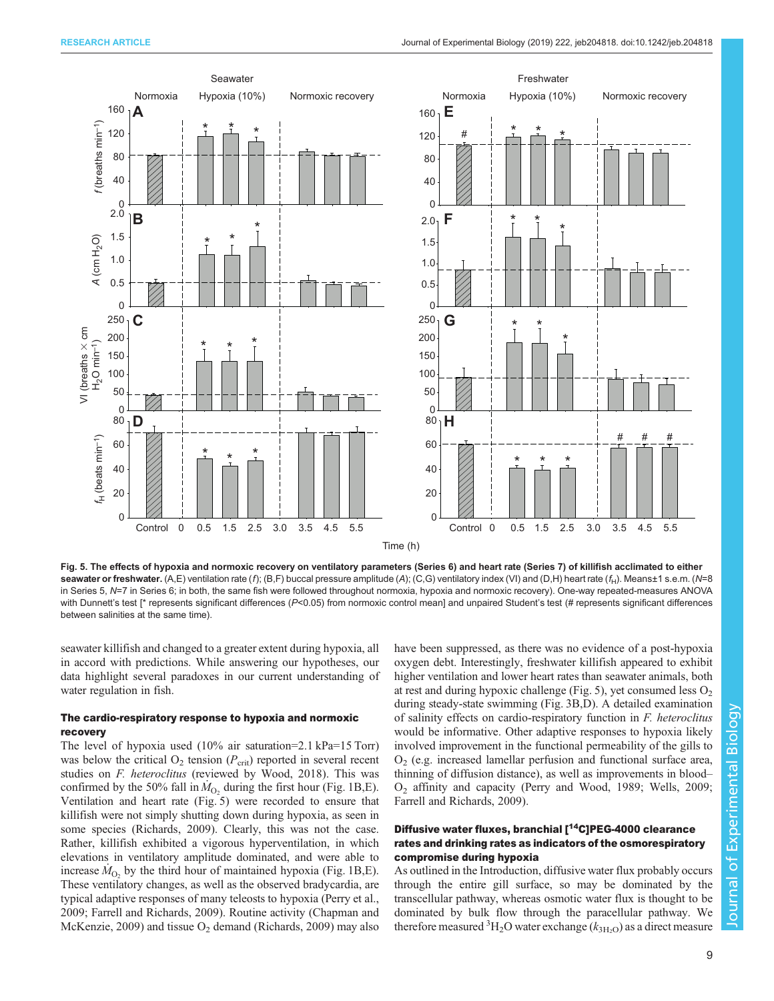<span id="page-8-0"></span>

Fig. 5. The effects of hypoxia and normoxic recovery on ventilatory parameters (Series 6) and heart rate (Series 7) of killifish acclimated to either seawater or freshwater. (A,E) ventilation rate (f); (B,F) buccal pressure amplitude (A); (C,G) ventilatory index (VI) and (D,H) heart rate ( $f_H$ ). Means±1 s.e.m. (N=8 in Series 5, N=7 in Series 6; in both, the same fish were followed throughout normoxia, hypoxia and normoxic recovery). One-way repeated-measures ANOVA with Dunnett's test [\* represents significant differences (P<0.05) from normoxic control mean] and unpaired Student's test (# represents significant differences between salinities at the same time).

seawater killifish and changed to a greater extent during hypoxia, all in accord with predictions. While answering our hypotheses, our data highlight several paradoxes in our current understanding of water regulation in fish.

# The cardio-respiratory response to hypoxia and normoxic recovery

The level of hypoxia used (10% air saturation=2.1 kPa=15 Torr) was below the critical  $O_2$  tension ( $P_{\text{crit}}$ ) reported in several recent studies on F. heteroclitus (reviewed by [Wood, 2018](#page-11-0)). This was confirmed by the 50% fall in  $M<sub>O<sub>2</sub></sub>$  during the first hour [\(Fig. 1](#page-4-0)B,E). Ventilation and heart rate (Fig. 5) were recorded to ensure that killifish were not simply shutting down during hypoxia, as seen in some species [\(Richards, 2009\)](#page-11-0). Clearly, this was not the case. Rather, killifish exhibited a vigorous hyperventilation, in which elevations in ventilatory amplitude dominated, and were able to increase  $M<sub>O</sub>$ , by the third hour of maintained hypoxia [\(Fig. 1](#page-4-0)B,E). These ventilatory changes, as well as the observed bradycardia, are typical adaptive responses of many teleosts to hypoxia [\(Perry et al.,](#page-11-0) [2009](#page-11-0); [Farrell and Richards, 2009](#page-10-0)). Routine activity [\(Chapman and](#page-10-0) [McKenzie, 2009\)](#page-10-0) and tissue  $O_2$  demand [\(Richards, 2009](#page-11-0)) may also have been suppressed, as there was no evidence of a post-hypoxia oxygen debt. Interestingly, freshwater killifish appeared to exhibit higher ventilation and lower heart rates than seawater animals, both at rest and during hypoxic challenge (Fig. 5), yet consumed less  $O<sub>2</sub>$ during steady-state swimming ([Fig. 3B](#page-6-0),D). A detailed examination of salinity effects on cardio-respiratory function in F. heteroclitus would be informative. Other adaptive responses to hypoxia likely involved improvement in the functional permeability of the gills to  $O<sub>2</sub>$  (e.g. increased lamellar perfusion and functional surface area, thinning of diffusion distance), as well as improvements in blood– O2 affinity and capacity ([Perry and Wood, 1989; Wells, 2009](#page-11-0); [Farrell and Richards, 2009](#page-10-0)).

# Diffusive water fluxes, branchial [14C]PEG-4000 clearance rates and drinking rates as indicators of the osmorespiratory compromise during hypoxia

As outlined in the Introduction, diffusive water flux probably occurs through the entire gill surface, so may be dominated by the transcellular pathway, whereas osmotic water flux is thought to be dominated by bulk flow through the paracellular pathway. We therefore measured  ${}^{3}H_{2}O$  water exchange  $(k_{3H_{2}O})$  as a direct measure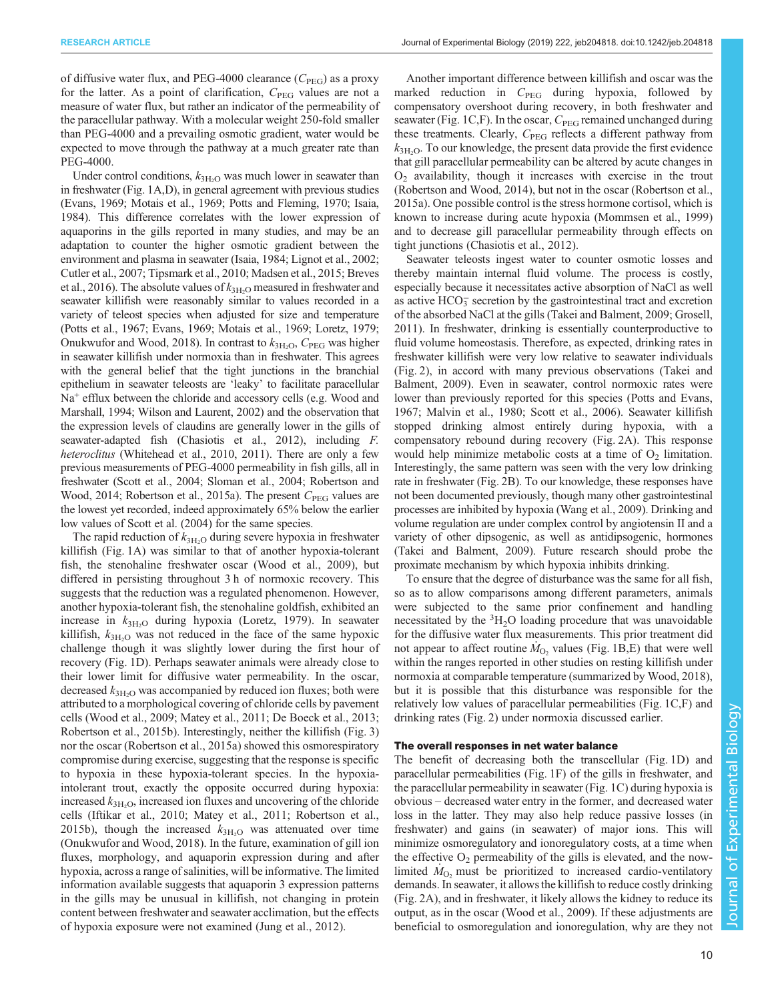of diffusive water flux, and PEG-4000 clearance  $(C_{\text{PEG}})$  as a proxy for the latter. As a point of clarification,  $C_{\text{PEG}}$  values are not a measure of water flux, but rather an indicator of the permeability of the paracellular pathway. With a molecular weight 250-fold smaller than PEG-4000 and a prevailing osmotic gradient, water would be expected to move through the pathway at a much greater rate than PEG-4000.

Under control conditions,  $k_{3H_2O}$  was much lower in seawater than in freshwater [\(Fig. 1](#page-4-0)A,D), in general agreement with previous studies [\(Evans, 1969;](#page-10-0) [Motais et al., 1969; Potts and Fleming, 1970; Isaia,](#page-11-0) [1984\)](#page-11-0). This difference correlates with the lower expression of aquaporins in the gills reported in many studies, and may be an adaptation to counter the higher osmotic gradient between the environment and plasma in seawater ([Isaia, 1984; Lignot et al., 2002](#page-11-0); [Cutler et al., 2007;](#page-10-0) [Tipsmark et al., 2010](#page-11-0); [Madsen et al., 2015](#page-11-0); [Breves](#page-10-0) [et al., 2016](#page-10-0)). The absolute values of  $k_{3H_2O}$  measured in freshwater and seawater killifish were reasonably similar to values recorded in a variety of teleost species when adjusted for size and temperature [\(Potts et al., 1967;](#page-11-0) [Evans, 1969](#page-10-0); [Motais et al., 1969](#page-11-0); [Loretz, 1979](#page-11-0); [Onukwufor and Wood, 2018\)](#page-11-0). In contrast to  $k_{3H_2O}$ ,  $C_{\text{PEG}}$  was higher in seawater killifish under normoxia than in freshwater. This agrees with the general belief that the tight junctions in the branchial epithelium in seawater teleosts are 'leaky' to facilitate paracellular  $Na<sup>+</sup>$  efflux between the chloride and accessory cells (e.g. [Wood and](#page-12-0) [Marshall, 1994](#page-12-0); [Wilson and Laurent, 2002\)](#page-11-0) and the observation that the expression levels of claudins are generally lower in the gills of seawater-adapted fish [\(Chasiotis et al., 2012\)](#page-10-0), including F. heteroclitus ([Whitehead et al., 2010](#page-11-0), [2011\)](#page-11-0). There are only a few previous measurements of PEG-4000 permeability in fish gills, all in freshwater [\(Scott et al., 2004](#page-11-0); [Sloman et al., 2004](#page-11-0); [Robertson and](#page-11-0) [Wood, 2014](#page-11-0); [Robertson et al., 2015a](#page-11-0)). The present  $C_{\text{PEG}}$  values are the lowest yet recorded, indeed approximately 65% below the earlier low values of [Scott et al. \(2004\)](#page-11-0) for the same species.

The rapid reduction of  $k_{3H<sub>2</sub>}$  during severe hypoxia in freshwater killifish ([Fig. 1](#page-4-0)A) was similar to that of another hypoxia-tolerant fish, the stenohaline freshwater oscar ([Wood et al., 2009\)](#page-12-0), but differed in persisting throughout 3 h of normoxic recovery. This suggests that the reduction was a regulated phenomenon. However, another hypoxia-tolerant fish, the stenohaline goldfish, exhibited an increase in  $k_{3H_2O}$  during hypoxia [\(Loretz, 1979](#page-11-0)). In seawater killifish,  $k_{3H_2O}$  was not reduced in the face of the same hypoxic challenge though it was slightly lower during the first hour of recovery ([Fig. 1](#page-4-0)D). Perhaps seawater animals were already close to their lower limit for diffusive water permeability. In the oscar, decreased  $k_{3H<sub>2</sub>O}$  was accompanied by reduced ion fluxes; both were attributed to a morphological covering of chloride cells by pavement cells ([Wood et al., 2009;](#page-12-0) [Matey et al., 2011;](#page-11-0) [De Boeck et al., 2013](#page-10-0); [Robertson et al., 2015b\)](#page-11-0). Interestingly, neither the killifish [\(Fig. 3\)](#page-6-0) nor the oscar [\(Robertson et al., 2015a\)](#page-11-0) showed this osmorespiratory compromise during exercise, suggesting that the response is specific to hypoxia in these hypoxia-tolerant species. In the hypoxiaintolerant trout, exactly the opposite occurred during hypoxia: increased  $k_{\rm 3H_2O}$ , increased ion fluxes and uncovering of the chloride cells ([Iftikar et al., 2010](#page-10-0); [Matey et al., 2011](#page-11-0); [Robertson et al.,](#page-11-0) [2015b\)](#page-11-0), though the increased  $k_{3H_2O}$  was attenuated over time [\(Onukwufor and Wood, 2018](#page-11-0)). In the future, examination of gill ion fluxes, morphology, and aquaporin expression during and after hypoxia, across a range of salinities, will be informative. The limited information available suggests that aquaporin 3 expression patterns in the gills may be unusual in killifish, not changing in protein content between freshwater and seawater acclimation, but the effects of hypoxia exposure were not examined [\(Jung et al., 2012](#page-11-0)).

Another important difference between killifish and oscar was the marked reduction in  $C_{\text{PEG}}$  during hypoxia, followed by compensatory overshoot during recovery, in both freshwater and seawater ([Fig. 1C](#page-4-0),F). In the oscar,  $C_{\text{PEG}}$  remained unchanged during these treatments. Clearly,  $C_{\text{PEG}}$  reflects a different pathway from  $k_{3\text{H}_2\text{O}}$ . To our knowledge, the present data provide the first evidence that gill paracellular permeability can be altered by acute changes in  $O<sub>2</sub>$  availability, though it increases with exercise in the trout [\(Robertson and Wood, 2014](#page-11-0)), but not in the oscar ([Robertson et al.,](#page-11-0) [2015a](#page-11-0)). One possible control is the stress hormone cortisol, which is known to increase during acute hypoxia [\(Mommsen et al., 1999\)](#page-11-0) and to decrease gill paracellular permeability through effects on tight junctions [\(Chasiotis et al., 2012\)](#page-10-0).

Seawater teleosts ingest water to counter osmotic losses and thereby maintain internal fluid volume. The process is costly, especially because it necessitates active absorption of NaCl as well as active HCO<sub>3</sub> secretion by the gastrointestinal tract and excretion of the absorbed NaCl at the gills ([Takei and Balment, 2009;](#page-11-0) [Grosell,](#page-10-0) [2011\)](#page-10-0). In freshwater, drinking is essentially counterproductive to fluid volume homeostasis. Therefore, as expected, drinking rates in freshwater killifish were very low relative to seawater individuals [\(Fig. 2\)](#page-5-0), in accord with many previous observations [\(Takei and](#page-11-0) [Balment, 2009\)](#page-11-0). Even in seawater, control normoxic rates were lower than previously reported for this species [\(Potts and Evans,](#page-11-0) [1967; Malvin et al., 1980](#page-11-0); [Scott et al., 2006\)](#page-11-0). Seawater killifish stopped drinking almost entirely during hypoxia, with a compensatory rebound during recovery [\(Fig. 2A](#page-5-0)). This response would help minimize metabolic costs at a time of  $O<sub>2</sub>$  limitation. Interestingly, the same pattern was seen with the very low drinking rate in freshwater [\(Fig. 2B](#page-5-0)). To our knowledge, these responses have not been documented previously, though many other gastrointestinal processes are inhibited by hypoxia [\(Wang et al., 2009\)](#page-11-0). Drinking and volume regulation are under complex control by angiotensin II and a variety of other dipsogenic, as well as antidipsogenic, hormones [\(Takei and Balment, 2009\)](#page-11-0). Future research should probe the proximate mechanism by which hypoxia inhibits drinking.

To ensure that the degree of disturbance was the same for all fish, so as to allow comparisons among different parameters, animals were subjected to the same prior confinement and handling necessitated by the  ${}^{3}H_{2}O$  loading procedure that was unavoidable for the diffusive water flux measurements. This prior treatment did not appear to affect routine  $\dot{M}_O$ , values ([Fig. 1](#page-4-0)B,E) that were well within the ranges reported in other studies on resting killifish under normoxia at comparable temperature (summarized by [Wood, 2018\)](#page-11-0), but it is possible that this disturbance was responsible for the relatively low values of paracellular permeabilities ([Fig. 1C](#page-4-0),F) and drinking rates ([Fig. 2](#page-5-0)) under normoxia discussed earlier.

#### The overall responses in net water balance

The benefit of decreasing both the transcellular ([Fig. 1](#page-4-0)D) and paracellular permeabilities [\(Fig. 1F](#page-4-0)) of the gills in freshwater, and the paracellular permeability in seawater [\(Fig. 1C](#page-4-0)) during hypoxia is obvious – decreased water entry in the former, and decreased water loss in the latter. They may also help reduce passive losses (in freshwater) and gains (in seawater) of major ions. This will minimize osmoregulatory and ionoregulatory costs, at a time when the effective  $O_2$  permeability of the gills is elevated, and the nowlimited  $M<sub>O</sub>$ , must be prioritized to increased cardio-ventilatory demands. In seawater, it allows the killifish to reduce costly drinking [\(Fig. 2A](#page-5-0)), and in freshwater, it likely allows the kidney to reduce its output, as in the oscar [\(Wood et al., 2009](#page-12-0)). If these adjustments are beneficial to osmoregulation and ionoregulation, why are they not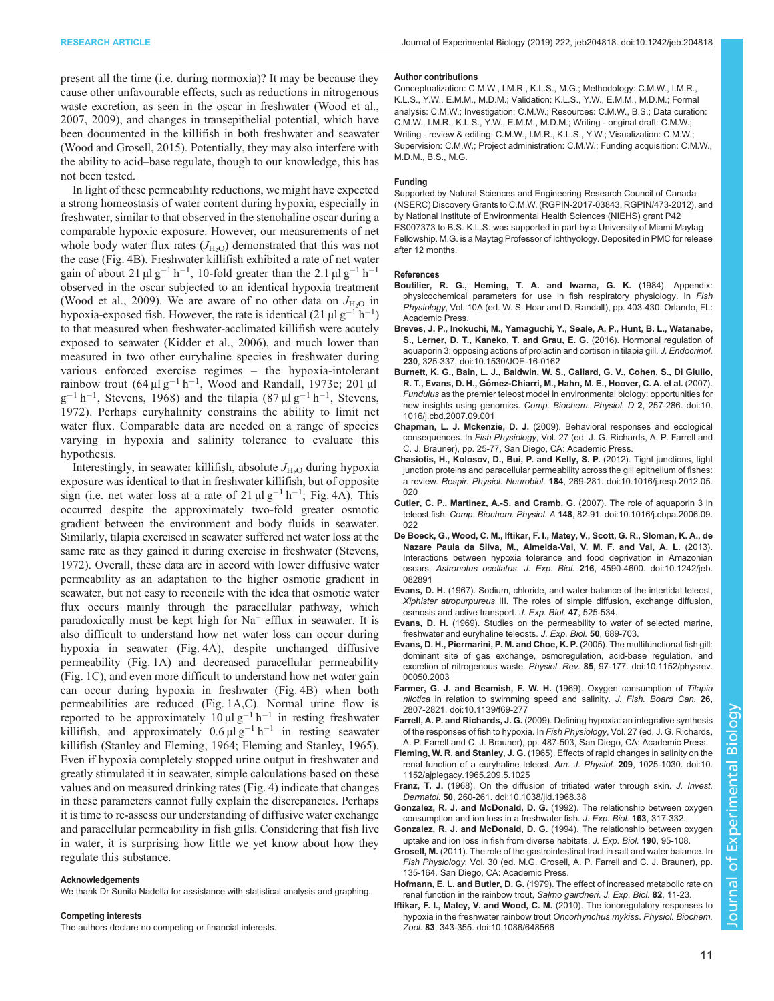<span id="page-10-0"></span>present all the time (i.e. during normoxia)? It may be because they cause other unfavourable effects, such as reductions in nitrogenous waste excretion, as seen in the oscar in freshwater ([Wood et al.,](#page-12-0) [2007](#page-12-0), [2009\)](#page-12-0), and changes in transepithelial potential, which have been documented in the killifish in both freshwater and seawater [\(Wood and Grosell, 2015](#page-11-0)). Potentially, they may also interfere with the ability to acid–base regulate, though to our knowledge, this has not been tested.

In light of these permeability reductions, we might have expected a strong homeostasis of water content during hypoxia, especially in freshwater, similar to that observed in the stenohaline oscar during a comparable hypoxic exposure. However, our measurements of net whole body water flux rates  $(J_{H<sub>2</sub>O})$  demonstrated that this was not the case ([Fig. 4](#page-7-0)B). Freshwater killifish exhibited a rate of net water gain of about 21  $\mu$ l g<sup>-1</sup> h<sup>-1</sup>, 10-fold greater than the 2.1  $\mu$ l g<sup>-1</sup> h<sup>-1</sup> observed in the oscar subjected to an identical hypoxia treatment [\(Wood et al., 2009](#page-12-0)). We are aware of no other data on  $J_{H_2O}$  in hypoxia-exposed fish. However, the rate is identical  $(21 \mu \lg^{-1} h^{-1})$ to that measured when freshwater-acclimated killifish were acutely exposed to seawater ([Kidder et al., 2006](#page-11-0)), and much lower than measured in two other euryhaline species in freshwater during various enforced exercise regimes – the hypoxia-intolerant rainbow trout  $(64 \mu \lg^{-1} h^{-1}$ , [Wood and Randall, 1973c](#page-12-0); 201  $\mu$ l  $g^{-1} h^{-1}$ , [Stevens, 1968](#page-11-0)) and the tilapia (87 µl  $g^{-1} h^{-1}$ , [Stevens,](#page-11-0) [1972\)](#page-11-0). Perhaps euryhalinity constrains the ability to limit net water flux. Comparable data are needed on a range of species varying in hypoxia and salinity tolerance to evaluate this hypothesis.

Interestingly, in seawater killifish, absolute  $J_{H_2O}$  during hypoxia exposure was identical to that in freshwater killifish, but of opposite sign (i.e. net water loss at a rate of 21  $\mu$ l g<sup>-1</sup> h<sup>-1</sup>; [Fig. 4](#page-7-0)A). This occurred despite the approximately two-fold greater osmotic gradient between the environment and body fluids in seawater. Similarly, tilapia exercised in seawater suffered net water loss at the same rate as they gained it during exercise in freshwater [\(Stevens,](#page-11-0) [1972](#page-11-0)). Overall, these data are in accord with lower diffusive water permeability as an adaptation to the higher osmotic gradient in seawater, but not easy to reconcile with the idea that osmotic water flux occurs mainly through the paracellular pathway, which paradoxically must be kept high for  $Na<sup>+</sup>$  efflux in seawater. It is also difficult to understand how net water loss can occur during hypoxia in seawater [\(Fig. 4A](#page-7-0)), despite unchanged diffusive permeability [\(Fig. 1A](#page-4-0)) and decreased paracellular permeability [\(Fig. 1C](#page-4-0)), and even more difficult to understand how net water gain can occur during hypoxia in freshwater [\(Fig. 4B](#page-7-0)) when both permeabilities are reduced ([Fig. 1](#page-4-0)A,C). Normal urine flow is reported to be approximately  $10 \mu \text{g}^{-1} \text{h}^{-1}$  in resting freshwater killifish, and approximately  $0.6 \mu\overline{g}^{-1}h^{-1}$  in resting seawater killifish [\(Stanley and Fleming, 1964](#page-11-0); Fleming and Stanley, 1965). Even if hypoxia completely stopped urine output in freshwater and greatly stimulated it in seawater, simple calculations based on these values and on measured drinking rates [\(Fig. 4](#page-7-0)) indicate that changes in these parameters cannot fully explain the discrepancies. Perhaps it is time to re-assess our understanding of diffusive water exchange and paracellular permeability in fish gills. Considering that fish live in water, it is surprising how little we yet know about how they regulate this substance.

#### Acknowledgements

We thank Dr Sunita Nadella for assistance with statistical analysis and graphing.

# Competing interests

The authors declare no competing or financial interests.

#### Author contributions

Conceptualization: C.M.W., I.M.R., K.L.S., M.G.; Methodology: C.M.W., I.M.R., K.L.S., Y.W., E.M.M., M.D.M.; Validation: K.L.S., Y.W., E.M.M., M.D.M.; Formal analysis: C.M.W.; Investigation: C.M.W.; Resources: C.M.W., B.S.; Data curation: C.M.W., I.M.R., K.L.S., Y.W., E.M.M., M.D.M.; Writing - original draft: C.M.W.; Writing - review & editing: C.M.W., I.M.R., K.L.S., Y.W.; Visualization: C.M.W.; Supervision: C.M.W.; Project administration: C.M.W.; Funding acquisition: C.M.W., M.D.M., B.S., M.G.

#### Funding

Supported by Natural Sciences and Engineering Research Council of Canada (NSERC) Discovery Grants to C.M.W. (RGPIN-2017-03843, RGPIN/473-2012), and by National Institute of Environmental Health Sciences (NIEHS) grant P42 ES007373 to B.S. K.L.S. was supported in part by a University of Miami Maytag Fellowship. M.G. is a Maytag Professor of Ichthyology. Deposited in PMC for release after 12 months.

#### References

- Boutilier, R. G., Heming, T. A. and Iwama, G. K. (1984). Appendix: physicochemical parameters for use in fish respiratory physiology. In Fish Physiology, Vol. 10A (ed. W. S. Hoar and D. Randall), pp. 403-430. Orlando, FL: Academic Press.
- [Breves, J. P., Inokuchi, M., Yamaguchi, Y., Seale, A. P., Hunt, B. L., Watanabe,](https://doi.org/10.1530/JOE-16-0162) [S., Lerner, D. T., Kaneko, T. and Grau, E. G.](https://doi.org/10.1530/JOE-16-0162) (2016). Hormonal regulation of [aquaporin 3: opposing actions of prolactin and cortison in tilapia gill.](https://doi.org/10.1530/JOE-16-0162) J. Endocrinol. 230[, 325-337. doi:10.1530/JOE-16-0162](https://doi.org/10.1530/JOE-16-0162)
- [Burnett, K. G., Bain, L. J., Baldwin, W. S., Callard, G. V., Cohen, S., Di Giulio,](https://doi.org/10.1016/j.cbd.2007.09.001) R. T., Evans, D. H., Gó[mez-Chiarri, M., Hahn, M. E., Hoover, C. A. et al.](https://doi.org/10.1016/j.cbd.2007.09.001) (2007). Fundulus [as the premier teleost model in environmental biology: opportunities for](https://doi.org/10.1016/j.cbd.2007.09.001) [new insights using genomics.](https://doi.org/10.1016/j.cbd.2007.09.001) Comp. Biochem. Physiol. D 2, 257-286. doi:10. [1016/j.cbd.2007.09.001](https://doi.org/10.1016/j.cbd.2007.09.001)
- Chapman, L. J. Mckenzie, D. J. (2009). Behavioral responses and ecological consequences. In Fish Physiology, Vol. 27 (ed. J. G. Richards, A. P. Farrell and C. J. Brauner), pp. 25-77, San Diego, CA: Academic Press.
- [Chasiotis, H., Kolosov, D., Bui, P. and Kelly, S. P.](https://doi.org/10.1016/j.resp.2012.05.020) (2012). Tight junctions, tight [junction proteins and paracellular permeability across the gill epithelium of fishes:](https://doi.org/10.1016/j.resp.2012.05.020) a review. Respir. Physiol. Neurobiol. 184[, 269-281. doi:10.1016/j.resp.2012.05.](https://doi.org/10.1016/j.resp.2012.05.020) [020](https://doi.org/10.1016/j.resp.2012.05.020)
- [Cutler, C. P., Martinez, A.-S. and Cramb, G.](https://doi.org/10.1016/j.cbpa.2006.09.022) (2007). The role of aquaporin 3 in teleost fish. Comp. Biochem. Physiol. A 148[, 82-91. doi:10.1016/j.cbpa.2006.09.](https://doi.org/10.1016/j.cbpa.2006.09.022) [022](https://doi.org/10.1016/j.cbpa.2006.09.022)
- [De Boeck, G., Wood, C. M., Iftikar, F. I., Matey, V., Scott, G. R., Sloman, K. A., de](https://doi.org/10.1242/jeb.082891) [Nazare Paula da Silva, M., Almeida-Val, V. M. F. and Val, A. L.](https://doi.org/10.1242/jeb.082891) (2013). [Interactions between hypoxia tolerance and food deprivation in Amazonian](https://doi.org/10.1242/jeb.082891) oscars, Astronotus ocellatus. J. Exp. Biol. 216[, 4590-4600. doi:10.1242/jeb.](https://doi.org/10.1242/jeb.082891) [082891](https://doi.org/10.1242/jeb.082891)
- Evans, D. H. (1967). Sodium, chloride, and water balance of the intertidal teleost, Xiphister atropurpureus III. The roles of simple diffusion, exchange diffusion, osmosis and active transport. J. Exp. Biol. 47, 525-534.
- Evans, D. H. (1969). Studies on the permeability to water of selected marine, freshwater and euryhaline teleosts. J. Exp. Biol. 50, 689-703.
- [Evans, D. H., Piermarini, P. M. and Choe, K. P.](https://doi.org/10.1152/physrev.00050.2003) (2005). The multifunctional fish gill: [dominant site of gas exchange, osmoregulation, acid-base regulation, and](https://doi.org/10.1152/physrev.00050.2003) [excretion of nitrogenous waste.](https://doi.org/10.1152/physrev.00050.2003) Physiol. Rev. 85, 97-177. doi:10.1152/physrev. [00050.2003](https://doi.org/10.1152/physrev.00050.2003)
- [Farmer, G. J. and Beamish, F. W. H.](https://doi.org/10.1139/f69-277) (1969). Oxygen consumption of Tilapia nilotica [in relation to swimming speed and salinity.](https://doi.org/10.1139/f69-277) J. Fish. Board Can. 26, [2807-2821. doi:10.1139/f69-277](https://doi.org/10.1139/f69-277)
- Farrell, A. P. and Richards, J. G. (2009). Defining hypoxia: an integrative synthesis of the responses of fish to hypoxia. In Fish Physiology, Vol. 27 (ed. J. G. Richards, A. P. Farrell and C. J. Brauner), pp. 487-503, San Diego, CA: Academic Press.
- Fleming, W. R. and Stanley, J. G. [\(1965\). Effects of rapid changes in salinity on the](https://doi.org/10.1152/ajplegacy.1965.209.5.1025) [renal function of a euryhaline teleost.](https://doi.org/10.1152/ajplegacy.1965.209.5.1025) Am. J. Physiol. 209, 1025-1030. doi:10. [1152/ajplegacy.1965.209.5.1025](https://doi.org/10.1152/ajplegacy.1965.209.5.1025)
- Franz, T. J. [\(1968\). On the diffusion of tritiated water through skin.](https://doi.org/10.1038/jid.1968.38) J. Invest. Dermatol. 50[, 260-261. doi:10.1038/jid.1968.38](https://doi.org/10.1038/jid.1968.38)
- Gonzalez, R. J. and McDonald, D. G. (1992). The relationship between oxygen consumption and ion loss in a freshwater fish. J. Exp. Biol. 163, 317-332.
- Gonzalez, R. J. and McDonald, D. G. (1994). The relationship between oxygen uptake and ion loss in fish from diverse habitats. J. Exp. Biol. 190, 95-108.
- Grosell, M. (2011). The role of the gastrointestinal tract in salt and water balance. In Fish Physiology, Vol. 30 (ed. M.G. Grosell, A. P. Farrell and C. J. Brauner), pp. 135-164. San Diego, CA: Academic Press.
- Hofmann, E. L. and Butler, D. G. (1979). The effect of increased metabolic rate on renal function in the rainbow trout. Salmo gairdneri, J. Exp. Biol. 82, 11-23.
- [Iftikar, F. I., Matey, V. and Wood, C. M.](https://doi.org/10.1086/648566) (2010). The ionoregulatory responses to [hypoxia in the freshwater rainbow trout](https://doi.org/10.1086/648566) Oncorhynchus mykiss. Physiol. Biochem. Zool. 83[, 343-355. doi:10.1086/648566](https://doi.org/10.1086/648566)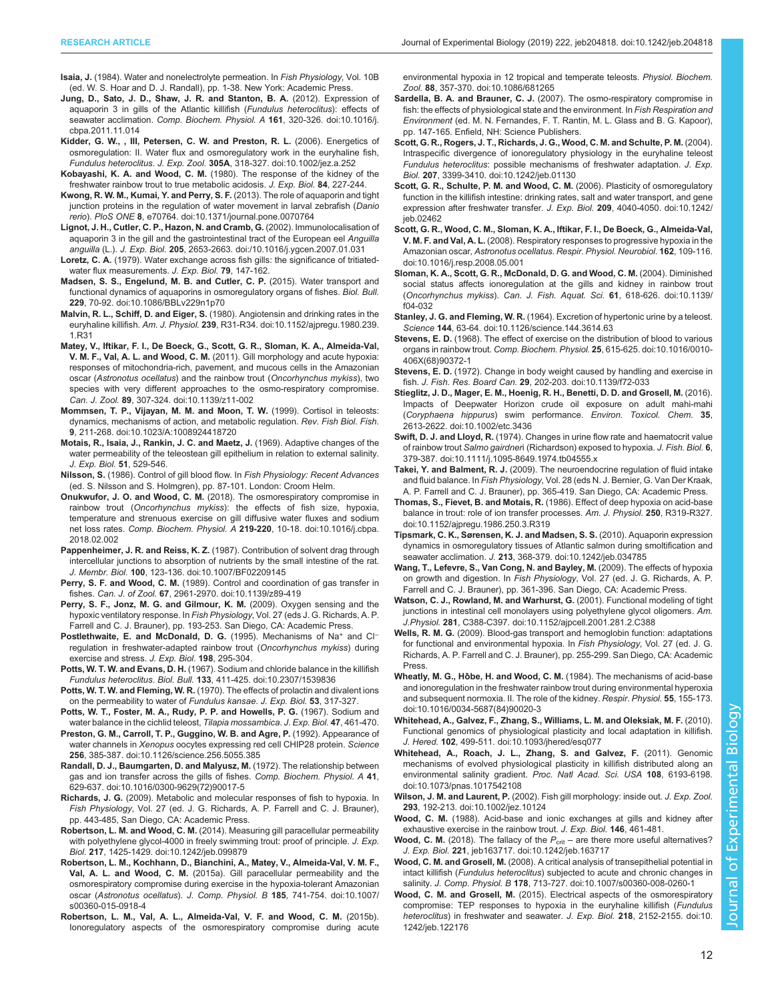- <span id="page-11-0"></span>Isaia, J. (1984). Water and nonelectrolyte permeation. In Fish Physiology, Vol. 10B (ed. W. S. Hoar and D. J. Randall), pp. 1-38. New York: Academic Press.
- [Jung, D., Sato, J. D., Shaw, J. R. and Stanton, B. A.](https://doi.org/10.1016/j.cbpa.2011.11.014) (2012). Expression of [aquaporin 3 in gills of the Atlantic killifish \(](https://doi.org/10.1016/j.cbpa.2011.11.014)Fundulus heteroclitus): effects of seawater acclimation. [Comp. Biochem. Physiol. A](https://doi.org/10.1016/j.cbpa.2011.11.014) 161, 320-326. doi:10.1016/j. [cbpa.2011.11.014](https://doi.org/10.1016/j.cbpa.2011.11.014)
- [Kidder, G. W., , III, Petersen, C. W. and Preston, R. L.](https://doi.org/10.1002/jez.a.252) (2006). Energetics of [osmoregulation: II. Water flux and osmoregulatory work in the euryhaline fish,](https://doi.org/10.1002/jez.a.252) Fundulus heteroclitus. J. Exp. Zool. 305A[, 318-327. doi:10.1002/jez.a.252](https://doi.org/10.1002/jez.a.252)
- Kobayashi, K. A. and Wood, C. M. (1980). The response of the kidney of the freshwater rainbow trout to true metabolic acidosis. J. Exp. Biol. 84, 227-244.
- [Kwong, R. W. M., Kumai, Y. and Perry, S. F.](https://doi.org/10.1371/journal.pone.0070764) (2013). The role of aquaporin and tight [junction proteins in the regulation of water movement in larval zebrafish \(](https://doi.org/10.1371/journal.pone.0070764)Danio rerio). PloS ONE 8[, e70764. doi:10.1371/journal.pone.0070764](https://doi.org/10.1371/journal.pone.0070764)
- [Lignot, J. H., Cutler, C. P., Hazon, N. and Cramb, G.](https://doi.org//10.1016/j.ygcen.2007.01.031) (2002). Immunolocalisation of [aquaporin 3 in the gill and the gastrointestinal tract of the European eel](https://doi.org//10.1016/j.ygcen.2007.01.031) Anguilla anguilla (L.). J. Exp. Biol. 205[, 2653-2663. doi:/10.1016/j.ygcen.2007.01.031](https://doi.org//10.1016/j.ygcen.2007.01.031)
- Loretz, C. A. (1979). Water exchange across fish gills: the significance of tritiatedwater flux measurements. J. Exp. Biol. 79, 147-162.
- [Madsen, S. S., Engelund, M. B. and Cutler, C. P.](https://doi.org/10.1086/BBLv229n1p70) (2015). Water transport and [functional dynamics of aquaporins in osmoregulatory organs of fishes.](https://doi.org/10.1086/BBLv229n1p70) Biol. Bull. 229[, 70-92. doi:10.1086/BBLv229n1p70](https://doi.org/10.1086/BBLv229n1p70)
- Malvin, R. L., Schiff, D. and Eiger, S. [\(1980\). Angiotensin and drinking rates in the](https://doi.org/10.1152/ajpregu.1980.239.1.R31) euryhaline killifish. Am. J. Physiol. 239[, R31-R34. doi:10.1152/ajpregu.1980.239.](https://doi.org/10.1152/ajpregu.1980.239.1.R31) [1.R31](https://doi.org/10.1152/ajpregu.1980.239.1.R31)
- [Matey, V., Iftikar, F. I., De Boeck, G., Scott, G. R., Sloman, K. A., Almeida-Val,](https://doi.org/10.1139/z11-002) V. M. F., Val, A. L. and Wood, C. M. [\(2011\). Gill morphology and acute hypoxia:](https://doi.org/10.1139/z11-002) [responses of mitochondria-rich, pavement, and mucous cells in the Amazonian](https://doi.org/10.1139/z11-002) oscar (Astronotus ocellatus[\) and the rainbow trout \(](https://doi.org/10.1139/z11-002)Oncorhynchus mykiss), two [species with very different approaches to the osmo-respiratory compromise.](https://doi.org/10.1139/z11-002) Can. J. Zool. 89[, 307-324. doi:10.1139/z11-002](https://doi.org/10.1139/z11-002)
- [Mommsen, T. P., Vijayan, M. M. and Moon, T. W.](https://doi.org/10.1023/A:1008924418720) (1999). Cortisol in teleosts: [dynamics, mechanisms of action, and metabolic regulation.](https://doi.org/10.1023/A:1008924418720) Rev. Fish Biol. Fish. 9[, 211-268. doi:10.1023/A:1008924418720](https://doi.org/10.1023/A:1008924418720)
- Motais, R., Isaia, J., Rankin, J. C. and Maetz, J. (1969). Adaptive changes of the water permeability of the teleostean gill epithelium in relation to external salinity. J. Exp. Biol. 51, 529-546.
- Nilsson, S. (1986). Control of gill blood flow. In Fish Physiology: Recent Advances (ed. S. Nilsson and S. Holmgren), pp. 87-101. London: Croom Helm.
- Onukwufor, J. O. and Wood, C. M. [\(2018\). The osmorespiratory compromise in](https://doi.org/10.1016/j.cbpa.2018.02.002) rainbow trout (Oncorhynchus mykiss[\): the effects of fish size, hypoxia,](https://doi.org/10.1016/j.cbpa.2018.02.002) [temperature and strenuous exercise on gill diffusive water fluxes and sodium](https://doi.org/10.1016/j.cbpa.2018.02.002) net loss rates. [Comp. Biochem. Physiol. A](https://doi.org/10.1016/j.cbpa.2018.02.002) 219-220, 10-18. doi:10.1016/j.cbpa. [2018.02.002](https://doi.org/10.1016/j.cbpa.2018.02.002)
- Pappenheimer, J. R. and Reiss, K. Z. [\(1987\). Contribution of solvent drag through](https://doi.org/10.1007/BF02209145) [intercellular junctions to absorption of nutrients by the small intestine of the rat.](https://doi.org/10.1007/BF02209145) J. Membr. Biol. 100[, 123-136. doi:10.1007/BF02209145](https://doi.org/10.1007/BF02209145)
- Perry, S. F. and Wood, C. M. [\(1989\). Control and coordination of gas transfer in](https://doi.org/10.1139/z89-419) fishes. Can. J. of Zool. 67[, 2961-2970. doi:10.1139/z89-419](https://doi.org/10.1139/z89-419)
- Perry, S. F., Jonz, M. G. and Gilmour, K. M. (2009). Oxygen sensing and the hypoxic ventilatory response. In Fish Physiology, Vol. 27 (eds J. G. Richards, A. P. Farrell and C. J. Brauner), pp. 193-253. San Diego, CA: Academic Press.
- Postlethwaite, E. and McDonald, D. G. (1995). Mechanisms of Na<sup>+</sup> and Cl<sup>−</sup> regulation in freshwater-adapted rainbow trout (Oncorhynchus mykiss) during exercise and stress. J. Exp. Biol. 198, 295-304.
- Potts, W. T. W. and Evans, D. H. [\(1967\). Sodium and chloride balance in the killifish](https://doi.org/10.2307/1539836) Fundulus heteroclitus. Biol. Bull. 133[, 411-425. doi:10.2307/1539836](https://doi.org/10.2307/1539836)
- Potts, W. T. W. and Fleming, W. R. (1970). The effects of prolactin and divalent ions on the permeability to water of Fundulus kansae. J. Exp. Biol. 53, 317-327.
- Potts, W. T., Foster, M. A., Rudy, P. P. and Howells, P. G. (1967). Sodium and water balance in the cichlid teleost, Tilapia mossambica. J. Exp. Biol. 47, 461-470.
- [Preston, G. M., Carroll, T. P., Guggino, W. B. and Agre, P.](https://doi.org/10.1126/science.256.5055.385) (1992). Appearance of water channels in Xenopus [oocytes expressing red cell CHIP28 protein.](https://doi.org/10.1126/science.256.5055.385) Science 256[, 385-387. doi:10.1126/science.256.5055.385](https://doi.org/10.1126/science.256.5055.385)
- [Randall, D. J., Baumgarten, D. and Malyusz, M.](https://doi.org/10.1016/0300-9629(72)90017-5) (1972). The relationship between [gas and ion transfer across the gills of fishes.](https://doi.org/10.1016/0300-9629(72)90017-5) Comp. Biochem. Physiol. A 41, [629-637. doi:10.1016/0300-9629\(72\)90017-5](https://doi.org/10.1016/0300-9629(72)90017-5)
- Richards, J. G. (2009). Metabolic and molecular responses of fish to hypoxia. In Fish Physiology, Vol. 27 (ed. J. G. Richards, A. P. Farrell and C. J. Brauner), pp. 443-485, San Diego, CA: Academic Press.
- Robertson, L. M. and Wood, C. M. [\(2014\). Measuring gill paracellular permeability](https://doi.org/10.1242/jeb.099879) [with polyethylene glycol-4000 in freely swimming trout: proof of principle.](https://doi.org/10.1242/jeb.099879) J. Exp. Biol. 217[, 1425-1429. doi:10.1242/jeb.099879](https://doi.org/10.1242/jeb.099879)
- [Robertson, L. M., Kochhann, D., Bianchini, A., Matey, V., Almeida-Val, V. M. F.,](https://doi.org/10.1007/s00360-015-0918-4) Val, A. L. and Wood, C. M. [\(2015a\). Gill paracellular permeability and the](https://doi.org/10.1007/s00360-015-0918-4) [osmorespiratory compromise during exercise in the hypoxia-tolerant Amazonian](https://doi.org/10.1007/s00360-015-0918-4) oscar (Astronotus ocellatus). J. Comp. Physiol. B 185[, 741-754. doi:10.1007/](https://doi.org/10.1007/s00360-015-0918-4) [s00360-015-0918-4](https://doi.org/10.1007/s00360-015-0918-4)
- [Robertson, L. M., Val, A. L., Almeida-Val, V. F. and Wood, C. M.](https://doi.org/10.1086/681265) (2015b). [Ionoregulatory aspects of the osmorespiratory compromise during acute](https://doi.org/10.1086/681265)

[environmental hypoxia in 12 tropical and temperate teleosts.](https://doi.org/10.1086/681265) Physiol. Biochem. Zool. 88[, 357-370. doi:10.1086/681265](https://doi.org/10.1086/681265)

- Sardella, B. A. and Brauner, C. J. (2007). The osmo-respiratory compromise in fish: the effects of physiological state and the environment. In Fish Respiration and Environment (ed. M. N. Fernandes, F. T. Rantin, M. L. Glass and B. G. Kapoor), pp. 147-165. Enfield, NH: Science Publishers.
- [Scott, G. R., Rogers, J. T., Richards, J. G., Wood, C. M. and Schulte, P. M.](https://doi.org/10.1242/jeb.01130) (2004). [Intraspecific divergence of ionoregulatory physiology in the euryhaline teleost](https://doi.org/10.1242/jeb.01130) Fundulus heteroclitus[: possible mechanisms of freshwater adaptation.](https://doi.org/10.1242/jeb.01130) J. Exp. Biol. 207[, 3399-3410. doi:10.1242/jeb.01130](https://doi.org/10.1242/jeb.01130)
- [Scott, G. R., Schulte, P. M. and Wood, C. M.](https://doi.org/10.1242/jeb.02462) (2006). Plasticity of osmoregulatory [function in the killifish intestine: drinking rates, salt and water transport, and gene](https://doi.org/10.1242/jeb.02462) [expression after freshwater transfer.](https://doi.org/10.1242/jeb.02462) J. Exp. Biol. 209, 4040-4050. doi:10.1242/ [jeb.02462](https://doi.org/10.1242/jeb.02462)
- [Scott, G. R., Wood, C. M., Sloman, K. A., Iftikar, F. I., De Boeck, G., Almeida-Val,](https://doi.org/10.1016/j.resp.2008.05.001) V. M. F. and Val, A. L. [\(2008\). Respiratory responses to progressive hypoxia in the](https://doi.org/10.1016/j.resp.2008.05.001) Amazonian oscar, Astronotus ocellatus. [Respir. Physiol. Neurobiol.](https://doi.org/10.1016/j.resp.2008.05.001) 162, 109-116. [doi:10.1016/j.resp.2008.05.001](https://doi.org/10.1016/j.resp.2008.05.001)
- [Sloman, K. A., Scott, G. R., McDonald, D. G. and Wood, C. M.](https://doi.org/10.1139/f04-032) (2004). Diminished [social status affects ionoregulation at the gills and kidney in rainbow trout](https://doi.org/10.1139/f04-032) (Oncorhynchus mykiss). [Can. J. Fish. Aquat. Sci.](https://doi.org/10.1139/f04-032) 61, 618-626. doi:10.1139/ [f04-032](https://doi.org/10.1139/f04-032)
- Stanley, J. G. and Fleming, W. R. [\(1964\). Excretion of hypertonic urine by a teleost.](https://doi.org/10.1126/science.144.3614.63) Science 144[, 63-64. doi:10.1126/science.144.3614.63](https://doi.org/10.1126/science.144.3614.63)
- Stevens, E. D. [\(1968\). The effect of exercise on the distribution of blood to various](https://doi.org/10.1016/0010-406X(68)90372-1) organs in rainbow trout. Comp. Biochem. Physiol. 25[, 615-625. doi:10.1016/0010-](https://doi.org/10.1016/0010-406X(68)90372-1) [406X\(68\)90372-1](https://doi.org/10.1016/0010-406X(68)90372-1)
- Stevens, E. D. [\(1972\). Change in body weight caused by handling and exercise in](https://doi.org/10.1139/f72-033) fish. J. Fish. Res. Board Can. 29[, 202-203. doi:10.1139/f72-033](https://doi.org/10.1139/f72-033)
- [Stieglitz, J. D., Mager, E. M., Hoenig, R. H., Benetti, D. D. and Grosell, M.](https://doi.org/10.1002/etc.3436) (2016). [Impacts of Deepwater Horizon crude oil exposure on adult mahi](https://doi.org/10.1002/etc.3436)‐mahi (Coryphaena hippurus) swim performance. [Environ. Toxicol. Chem.](https://doi.org/10.1002/etc.3436) 35, [2613-2622. doi:10.1002/etc.3436](https://doi.org/10.1002/etc.3436)
- Swift, D. J. and Lloyd, R. [\(1974\). Changes in urine flow rate and haematocrit value](https://doi.org/10.1111/j.1095-8649.1974.tb04555.x) of rainbow trout Salmo gairdner[i \(Richardson\) exposed to hypoxia.](https://doi.org/10.1111/j.1095-8649.1974.tb04555.x) J. Fish. Biol. 6, [379-387. doi:10.1111/j.1095-8649.1974.tb04555.x](https://doi.org/10.1111/j.1095-8649.1974.tb04555.x)
- Takei, Y. and Balment, R. J. (2009). The neuroendocrine regulation of fluid intake and fluid balance. In Fish Physiology, Vol. 28 (eds N. J. Bernier, G. Van Der Kraak, A. P. Farrell and C. J. Brauner), pp. 365-419. San Diego, CA: Academic Press.
- Thomas, S., Fievet, B. and Motais, R. [\(1986\). Effect of deep hypoxia on acid-base](https://doi.org/10.1152/ajpregu.1986.250.3.R319) [balance in trout: role of ion transfer processes.](https://doi.org/10.1152/ajpregu.1986.250.3.R319) Am. J. Physiol. 250, R319-R327. [doi:10.1152/ajpregu.1986.250.3.R319](https://doi.org/10.1152/ajpregu.1986.250.3.R319)
- [Tipsmark, C. K., Sørensen, K. J. and Madsen, S. S.](https://doi.org/10.1242/jeb.034785) (2010). Aquaporin expression [dynamics in osmoregulatory tissues of Atlantic salmon during smoltification and](https://doi.org/10.1242/jeb.034785) seawater acclimation. J. 213[, 368-379. doi:10.1242/jeb.034785](https://doi.org/10.1242/jeb.034785)
- Wang, T., Lefevre, S., Van Cong, N. and Bayley, M. (2009). The effects of hypoxia on growth and digestion. In Fish Physiology, Vol. 27 (ed. J. G. Richards, A. P. Farrell and C. J. Brauner), pp. 361-396. San Diego, CA: Academic Press.
- [Watson, C. J., Rowland, M. and Warhurst, G.](https://doi.org/10.1152/ajpcell.2001.281.2.C388) (2001). Functional modeling of tight [junctions in intestinal cell monolayers using polyethylene glycol oligomers.](https://doi.org/10.1152/ajpcell.2001.281.2.C388) Am. J.Physiol. 281[, C388-C397. doi:10.1152/ajpcell.2001.281.2.C388](https://doi.org/10.1152/ajpcell.2001.281.2.C388)
- Wells, R. M. G. (2009). Blood-gas transport and hemoglobin function: adaptations for functional and environmental hypoxia. In Fish Physiology, Vol. 27 (ed. J. G. Richards, A. P. Farrell and C. J. Brauner), pp. 255-299. San Diego, CA: Academic **Press**
- [Wheatly, M. G., H](https://doi.org/10.1016/0034-5687(84)90020-3)obe, H. and Wood, C. M. [\(1984\). The mechanisms of acid-base](https://doi.org/10.1016/0034-5687(84)90020-3) [and ionoregulation in the freshwater rainbow trout during environmental hyperoxia](https://doi.org/10.1016/0034-5687(84)90020-3) [and subsequent normoxia. II. The role of the kidney.](https://doi.org/10.1016/0034-5687(84)90020-3) Respir. Physiol. 55, 155-173. [doi:10.1016/0034-5687\(84\)90020-3](https://doi.org/10.1016/0034-5687(84)90020-3)
- [Whitehead, A., Galvez, F., Zhang, S., Williams, L. M. and Oleksiak, M. F.](https://doi.org/10.1093/jhered/esq077) (2010). [Functional genomics of physiological plasticity and local adaptation in killifish.](https://doi.org/10.1093/jhered/esq077) J. Hered. 102[, 499-511. doi:10.1093/jhered/esq077](https://doi.org/10.1093/jhered/esq077)
- [Whitehead, A., Roach, J. L., Zhang, S. and Galvez, F.](https://doi.org/10.1073/pnas.1017542108) (2011). Genomic [mechanisms of evolved physiological plasticity in killifish distributed along an](https://doi.org/10.1073/pnas.1017542108) [environmental salinity gradient.](https://doi.org/10.1073/pnas.1017542108) Proc. Natl Acad. Sci. USA 108, 6193-6198. [doi:10.1073/pnas.1017542108](https://doi.org/10.1073/pnas.1017542108)
- Wilson, J. M. and Laurent, P. [\(2002\). Fish gill morphology: inside out.](https://doi.org/10.1002/jez.10124) J. Exp. Zool. 293[, 192-213. doi:10.1002/jez.10124](https://doi.org/10.1002/jez.10124)
- Wood, C. M. (1988). Acid-base and ionic exchanges at gills and kidney after exhaustive exercise in the rainbow trout. J. Exp. Biol. 146, 461-481.
- Wood, C. M. [\(2018\). The fallacy of the](https://doi.org/10.1242/jeb.163717)  $P_{\text{crit}}$  [are there more useful alternatives?](https://doi.org/10.1242/jeb.163717) J. Exp. Biol. 221[, jeb163717. doi:10.1242/jeb.163717](https://doi.org/10.1242/jeb.163717)
- Wood, C. M. and Grosell, M. [\(2008\). A critical analysis of transepithelial potential in](https://doi.org/10.1007/s00360-008-0260-1) intact killifish (Fundulus heteroclitus[\) subjected to acute and chronic changes in](https://doi.org/10.1007/s00360-008-0260-1) salinity. J. Comp. Physiol. B 178[, 713-727. doi:10.1007/s00360-008-0260-1](https://doi.org/10.1007/s00360-008-0260-1)
- Wood, C. M. and Grosell, M. [\(2015\). Electrical aspects of the osmorespiratory](https://doi.org/10.1242/jeb.122176) [compromise: TEP responses to hypoxia in the euryhaline killifish \(](https://doi.org/10.1242/jeb.122176)Fundulus heteroclitus[\) in freshwater and seawater.](https://doi.org/10.1242/jeb.122176) J. Exp. Biol. 218, 2152-2155. doi:10. [1242/jeb.122176](https://doi.org/10.1242/jeb.122176)